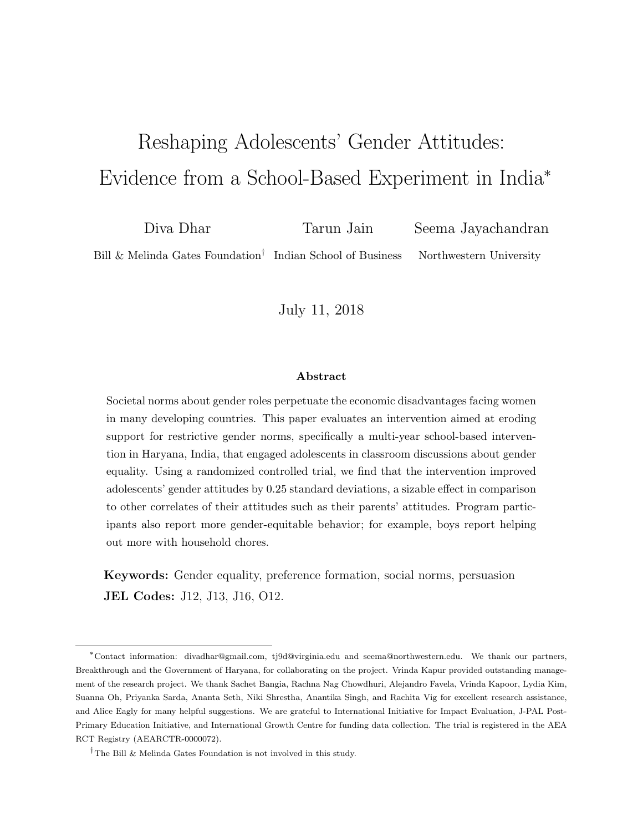# <span id="page-0-0"></span>Reshaping Adolescents' Gender Attitudes: Evidence from a School-Based Experiment in India<sup>∗</sup>

Diva Dhar Tarun Jain Seema Jayachandran Bill & Melinda Gates Foundation<sup>†</sup> Indian School of Business Northwestern University

July 11, 2018

#### Abstract

Societal norms about gender roles perpetuate the economic disadvantages facing women in many developing countries. This paper evaluates an intervention aimed at eroding support for restrictive gender norms, specifically a multi-year school-based intervention in Haryana, India, that engaged adolescents in classroom discussions about gender equality. Using a randomized controlled trial, we find that the intervention improved adolescents' gender attitudes by 0.25 standard deviations, a sizable effect in comparison to other correlates of their attitudes such as their parents' attitudes. Program participants also report more gender-equitable behavior; for example, boys report helping out more with household chores.

Keywords: Gender equality, preference formation, social norms, persuasion JEL Codes: J12, J13, J16, O12.

<sup>∗</sup>Contact information: divadhar@gmail.com, tj9d@virginia.edu and seema@northwestern.edu. We thank our partners, Breakthrough and the Government of Haryana, for collaborating on the project. Vrinda Kapur provided outstanding management of the research project. We thank Sachet Bangia, Rachna Nag Chowdhuri, Alejandro Favela, Vrinda Kapoor, Lydia Kim, Suanna Oh, Priyanka Sarda, Ananta Seth, Niki Shrestha, Anantika Singh, and Rachita Vig for excellent research assistance, and Alice Eagly for many helpful suggestions. We are grateful to International Initiative for Impact Evaluation, J-PAL Post-Primary Education Initiative, and International Growth Centre for funding data collection. The trial is registered in the AEA RCT Registry (AEARCTR-0000072).

<sup>†</sup>The Bill & Melinda Gates Foundation is not involved in this study.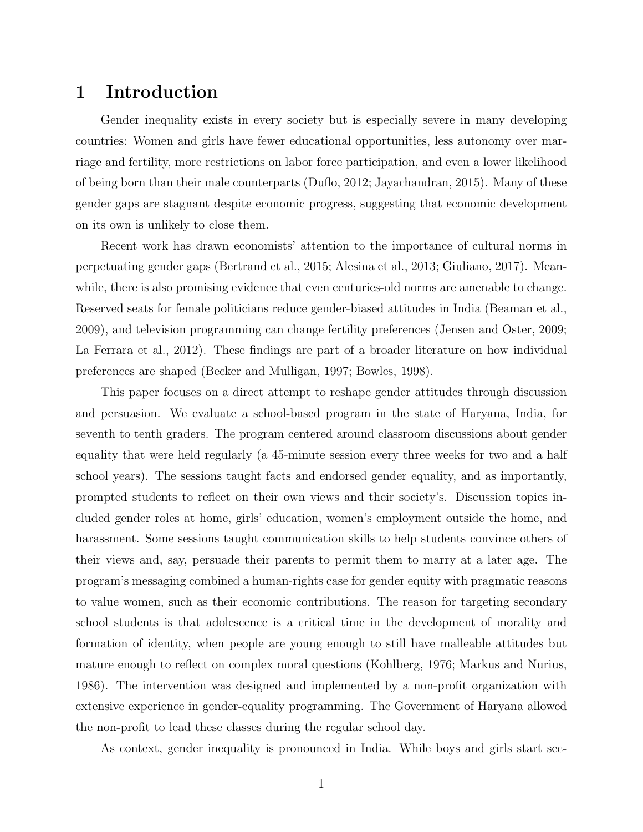## 1 Introduction

Gender inequality exists in every society but is especially severe in many developing countries: Women and girls have fewer educational opportunities, less autonomy over marriage and fertility, more restrictions on labor force participation, and even a lower likelihood of being born than their male counterparts [\(Duflo,](#page-16-0) [2012;](#page-16-0) [Jayachandran,](#page-16-1) [2015\)](#page-16-1). Many of these gender gaps are stagnant despite economic progress, suggesting that economic development on its own is unlikely to close them.

Recent work has drawn economists' attention to the importance of cultural norms in perpetuating gender gaps [\(Bertrand et al.,](#page-15-0) [2015;](#page-15-0) [Alesina et al.,](#page-15-1) [2013;](#page-15-1) [Giuliano,](#page-16-2) [2017\)](#page-16-2). Meanwhile, there is also promising evidence that even centuries-old norms are amenable to change. Reserved seats for female politicians reduce gender-biased attitudes in India [\(Beaman et al.,](#page-15-2) [2009\)](#page-15-2), and television programming can change fertility preferences [\(Jensen and Oster,](#page-17-0) [2009;](#page-17-0) [La Ferrara et al.,](#page-17-1) [2012\)](#page-17-1). These findings are part of a broader literature on how individual preferences are shaped [\(Becker and Mulligan,](#page-15-3) [1997;](#page-15-3) [Bowles,](#page-15-4) [1998\)](#page-15-4).

This paper focuses on a direct attempt to reshape gender attitudes through discussion and persuasion. We evaluate a school-based program in the state of Haryana, India, for seventh to tenth graders. The program centered around classroom discussions about gender equality that were held regularly (a 45-minute session every three weeks for two and a half school years). The sessions taught facts and endorsed gender equality, and as importantly, prompted students to reflect on their own views and their society's. Discussion topics included gender roles at home, girls' education, women's employment outside the home, and harassment. Some sessions taught communication skills to help students convince others of their views and, say, persuade their parents to permit them to marry at a later age. The program's messaging combined a human-rights case for gender equity with pragmatic reasons to value women, such as their economic contributions. The reason for targeting secondary school students is that adolescence is a critical time in the development of morality and formation of identity, when people are young enough to still have malleable attitudes but mature enough to reflect on complex moral questions [\(Kohlberg,](#page-17-2) [1976;](#page-17-2) [Markus and Nurius,](#page-17-3) [1986\)](#page-17-3). The intervention was designed and implemented by a non-profit organization with extensive experience in gender-equality programming. The Government of Haryana allowed the non-profit to lead these classes during the regular school day.

As context, gender inequality is pronounced in India. While boys and girls start sec-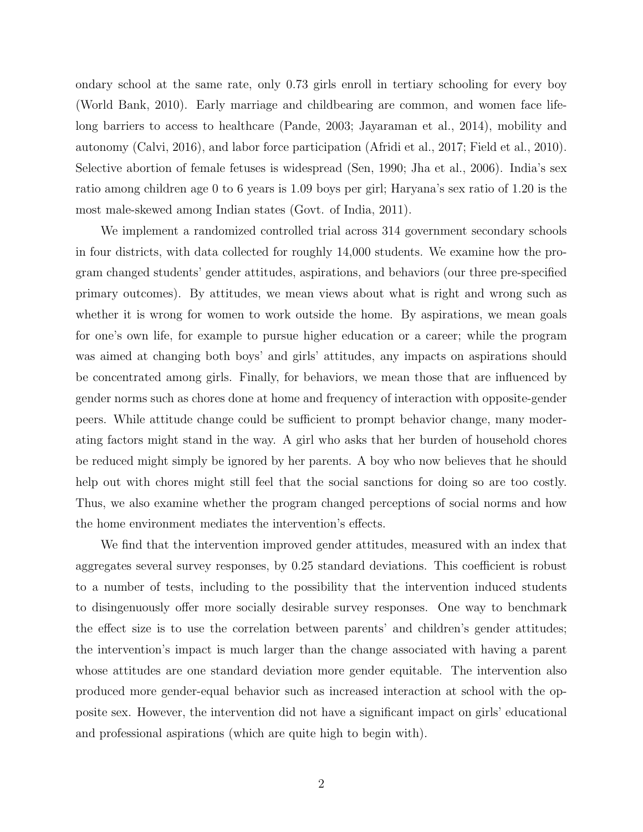ondary school at the same rate, only 0.73 girls enroll in tertiary schooling for every boy [\(World Bank,](#page-17-4) [2010\)](#page-17-4). Early marriage and childbearing are common, and women face lifelong barriers to access to healthcare [\(Pande,](#page-17-5) [2003;](#page-17-5) [Jayaraman et al.,](#page-17-6) [2014\)](#page-17-6), mobility and autonomy [\(Calvi,](#page-15-5) [2016\)](#page-15-5), and labor force participation [\(Afridi et al.,](#page-15-6) [2017;](#page-15-6) [Field et al.,](#page-16-3) [2010\)](#page-16-3). Selective abortion of female fetuses is widespread [\(Sen,](#page-17-7) [1990;](#page-17-7) [Jha et al.,](#page-17-8) [2006\)](#page-17-8). India's sex ratio among children age 0 to 6 years is 1.09 boys per girl; Haryana's sex ratio of 1.20 is the most male-skewed among Indian states [\(Govt. of India,](#page-16-4) [2011\)](#page-16-4).

We implement a randomized controlled trial across 314 government secondary schools in four districts, with data collected for roughly 14,000 students. We examine how the program changed students' gender attitudes, aspirations, and behaviors (our three pre-specified primary outcomes). By attitudes, we mean views about what is right and wrong such as whether it is wrong for women to work outside the home. By aspirations, we mean goals for one's own life, for example to pursue higher education or a career; while the program was aimed at changing both boys' and girls' attitudes, any impacts on aspirations should be concentrated among girls. Finally, for behaviors, we mean those that are influenced by gender norms such as chores done at home and frequency of interaction with opposite-gender peers. While attitude change could be sufficient to prompt behavior change, many moderating factors might stand in the way. A girl who asks that her burden of household chores be reduced might simply be ignored by her parents. A boy who now believes that he should help out with chores might still feel that the social sanctions for doing so are too costly. Thus, we also examine whether the program changed perceptions of social norms and how the home environment mediates the intervention's effects.

We find that the intervention improved gender attitudes, measured with an index that aggregates several survey responses, by 0.25 standard deviations. This coefficient is robust to a number of tests, including to the possibility that the intervention induced students to disingenuously offer more socially desirable survey responses. One way to benchmark the effect size is to use the correlation between parents' and children's gender attitudes; the intervention's impact is much larger than the change associated with having a parent whose attitudes are one standard deviation more gender equitable. The intervention also produced more gender-equal behavior such as increased interaction at school with the opposite sex. However, the intervention did not have a significant impact on girls' educational and professional aspirations (which are quite high to begin with).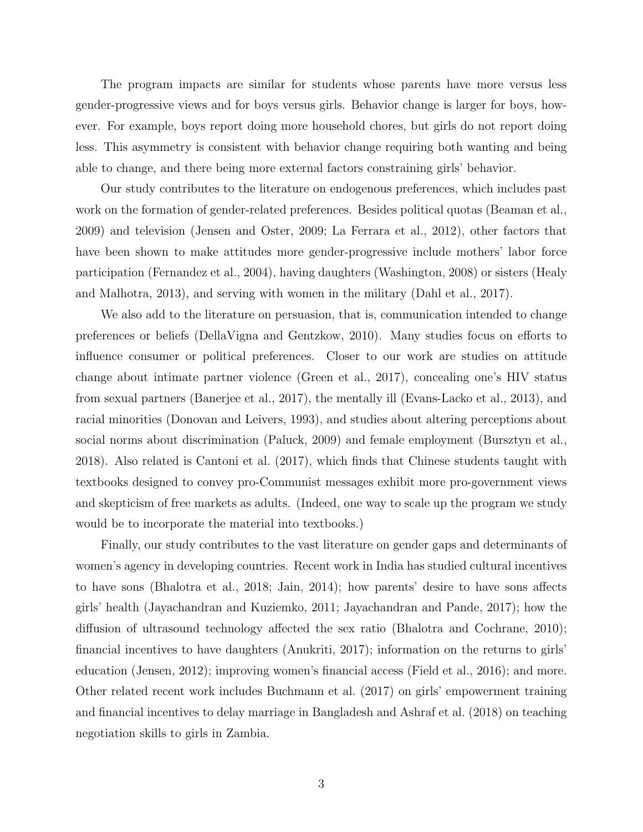The program impacts are similar for students whose parents have more versus less gender-progressive views and for boys versus girls. Behavior change is larger for boys, however. For example, boys report doing more household chores, but girls do not report doing less. This asymmetry is consistent with behavior change requiring both wanting and being able to change, and there being more external factors constraining girls' behavior.

Our study contributes to the literature on endogenous preferences, which includes past work on the formation of gender-related preferences. Besides political quotas [\(Beaman et al.,](#page-15-2) [2009\)](#page-15-2) and television [\(Jensen and Oster,](#page-17-0) [2009;](#page-17-0) [La Ferrara et al.,](#page-17-1) [2012\)](#page-17-1), other factors that have been shown to make attitudes more gender-progressive include mothers' labor force participation [\(Fernandez et al.,](#page-16-5) [2004\)](#page-16-5), having daughters [\(Washington,](#page-17-9) [2008\)](#page-17-9) or sisters [\(Healy](#page-16-6) [and Malhotra,](#page-16-6) [2013\)](#page-16-6), and serving with women in the military [\(Dahl et al.,](#page-16-7) [2017\)](#page-16-7).

We also add to the literature on persuasion, that is, communication intended to change preferences or beliefs [\(DellaVigna and Gentzkow,](#page-16-8) [2010\)](#page-16-8). Many studies focus on efforts to influence consumer or political preferences. Closer to our work are studies on attitude change about intimate partner violence [\(Green et al.,](#page-16-9) [2017\)](#page-16-9), concealing one's HIV status from sexual partners [\(Banerjee et al.,](#page-15-7) [2017\)](#page-15-7), the mentally ill [\(Evans-Lacko et al.,](#page-16-10) [2013\)](#page-16-10), and racial minorities [\(Donovan and Leivers,](#page-16-11) [1993\)](#page-16-11), and studies about altering perceptions about social norms about discrimination [\(Paluck,](#page-17-10) [2009\)](#page-17-10) and female employment [\(Bursztyn et al.,](#page-15-8) [2018\)](#page-15-8). Also related is [Cantoni et al.](#page-16-12) [\(2017\)](#page-16-12), which finds that Chinese students taught with textbooks designed to convey pro-Communist messages exhibit more pro-government views and skepticism of free markets as adults. (Indeed, one way to scale up the program we study would be to incorporate the material into textbooks.)

Finally, our study contributes to the vast literature on gender gaps and determinants of women's agency in developing countries. Recent work in India has studied cultural incentives to have sons [\(Bhalotra et al.,](#page-15-9) [2018;](#page-15-9) [Jain,](#page-16-13) [2014\)](#page-16-13); how parents' desire to have sons affects girls' health [\(Jayachandran and Kuziemko,](#page-17-11) [2011;](#page-17-11) [Jayachandran and Pande,](#page-17-12) [2017\)](#page-17-12); how the diffusion of ultrasound technology affected the sex ratio [\(Bhalotra and Cochrane,](#page-15-10) [2010\)](#page-15-10); financial incentives to have daughters [\(Anukriti,](#page-15-11) [2017\)](#page-15-11); information on the returns to girls' education [\(Jensen,](#page-17-13) [2012\)](#page-17-13); improving women's financial access [\(Field et al.,](#page-16-14) [2016\)](#page-16-14); and more. Other related recent work includes [Buchmann et al.](#page-15-12) [\(2017\)](#page-15-12) on girls' empowerment training and financial incentives to delay marriage in Bangladesh and [Ashraf et al.](#page-15-13) [\(2018\)](#page-15-13) on teaching negotiation skills to girls in Zambia.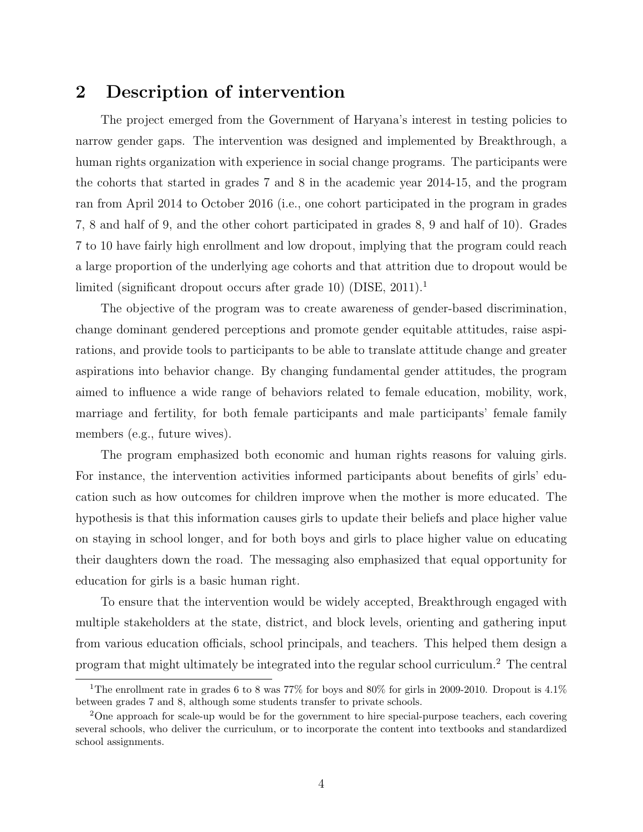## 2 Description of intervention

The project emerged from the Government of Haryana's interest in testing policies to narrow gender gaps. The intervention was designed and implemented by Breakthrough, a human rights organization with experience in social change programs. The participants were the cohorts that started in grades 7 and 8 in the academic year 2014-15, and the program ran from April 2014 to October 2016 (i.e., one cohort participated in the program in grades 7, 8 and half of 9, and the other cohort participated in grades 8, 9 and half of 10). Grades 7 to 10 have fairly high enrollment and low dropout, implying that the program could reach a large proportion of the underlying age cohorts and that attrition due to dropout would be limited (significant dropout occurs after grade 10) [\(DISE,](#page-16-15) [2011\)](#page-16-15).[1](#page-0-0)

The objective of the program was to create awareness of gender-based discrimination, change dominant gendered perceptions and promote gender equitable attitudes, raise aspirations, and provide tools to participants to be able to translate attitude change and greater aspirations into behavior change. By changing fundamental gender attitudes, the program aimed to influence a wide range of behaviors related to female education, mobility, work, marriage and fertility, for both female participants and male participants' female family members (e.g., future wives).

The program emphasized both economic and human rights reasons for valuing girls. For instance, the intervention activities informed participants about benefits of girls' education such as how outcomes for children improve when the mother is more educated. The hypothesis is that this information causes girls to update their beliefs and place higher value on staying in school longer, and for both boys and girls to place higher value on educating their daughters down the road. The messaging also emphasized that equal opportunity for education for girls is a basic human right.

To ensure that the intervention would be widely accepted, Breakthrough engaged with multiple stakeholders at the state, district, and block levels, orienting and gathering input from various education officials, school principals, and teachers. This helped them design a program that might ultimately be integrated into the regular school curriculum.[2](#page-0-0) The central

<sup>&</sup>lt;sup>1</sup>The enrollment rate in grades 6 to 8 was 77% for boys and 80% for girls in 2009-2010. Dropout is  $4.1\%$ between grades 7 and 8, although some students transfer to private schools.

<sup>2</sup>One approach for scale-up would be for the government to hire special-purpose teachers, each covering several schools, who deliver the curriculum, or to incorporate the content into textbooks and standardized school assignments.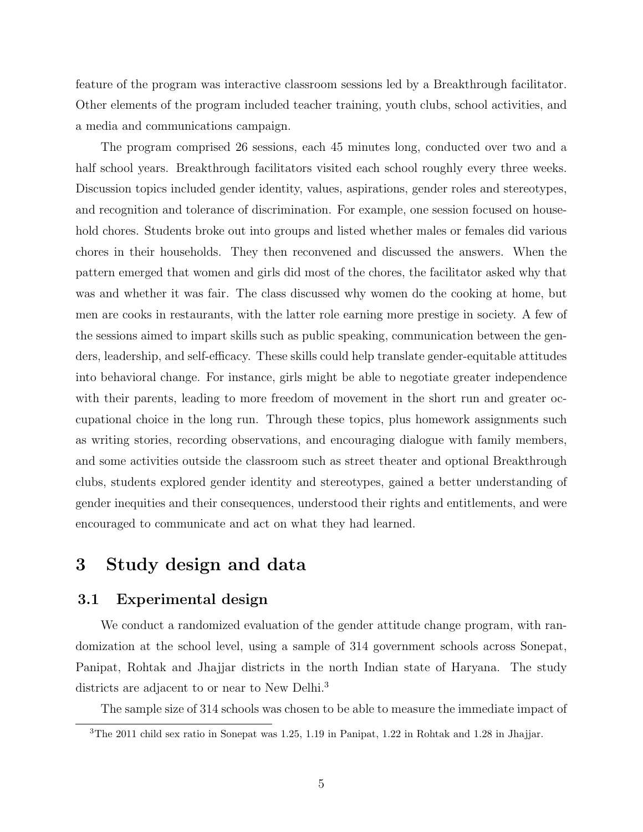feature of the program was interactive classroom sessions led by a Breakthrough facilitator. Other elements of the program included teacher training, youth clubs, school activities, and a media and communications campaign.

The program comprised 26 sessions, each 45 minutes long, conducted over two and a half school years. Breakthrough facilitators visited each school roughly every three weeks. Discussion topics included gender identity, values, aspirations, gender roles and stereotypes, and recognition and tolerance of discrimination. For example, one session focused on household chores. Students broke out into groups and listed whether males or females did various chores in their households. They then reconvened and discussed the answers. When the pattern emerged that women and girls did most of the chores, the facilitator asked why that was and whether it was fair. The class discussed why women do the cooking at home, but men are cooks in restaurants, with the latter role earning more prestige in society. A few of the sessions aimed to impart skills such as public speaking, communication between the genders, leadership, and self-efficacy. These skills could help translate gender-equitable attitudes into behavioral change. For instance, girls might be able to negotiate greater independence with their parents, leading to more freedom of movement in the short run and greater occupational choice in the long run. Through these topics, plus homework assignments such as writing stories, recording observations, and encouraging dialogue with family members, and some activities outside the classroom such as street theater and optional Breakthrough clubs, students explored gender identity and stereotypes, gained a better understanding of gender inequities and their consequences, understood their rights and entitlements, and were encouraged to communicate and act on what they had learned.

## 3 Study design and data

#### 3.1 Experimental design

We conduct a randomized evaluation of the gender attitude change program, with randomization at the school level, using a sample of 314 government schools across Sonepat, Panipat, Rohtak and Jhajjar districts in the north Indian state of Haryana. The study districts are adjacent to or near to New Delhi.<sup>[3](#page-0-0)</sup>

The sample size of 314 schools was chosen to be able to measure the immediate impact of

<sup>3</sup>The 2011 child sex ratio in Sonepat was 1.25, 1.19 in Panipat, 1.22 in Rohtak and 1.28 in Jhajjar.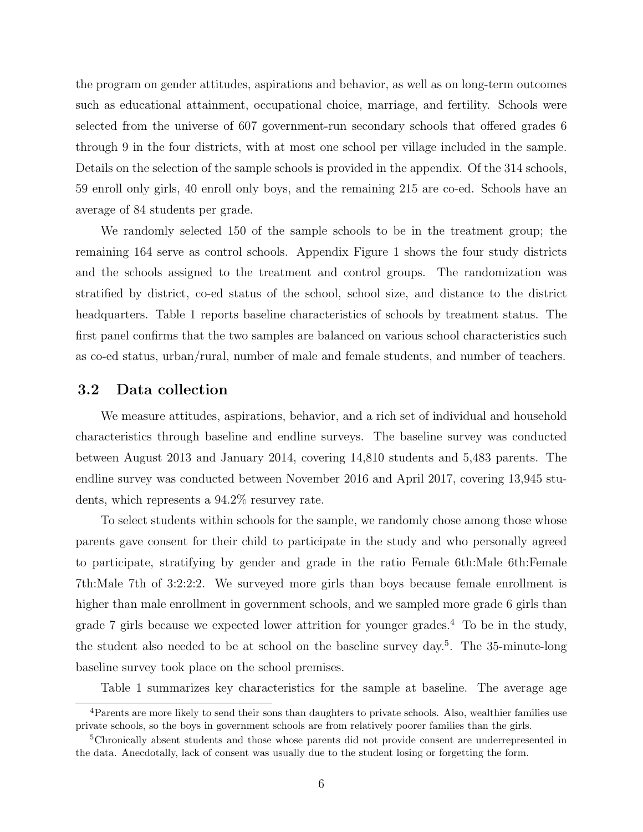the program on gender attitudes, aspirations and behavior, as well as on long-term outcomes such as educational attainment, occupational choice, marriage, and fertility. Schools were selected from the universe of 607 government-run secondary schools that offered grades 6 through 9 in the four districts, with at most one school per village included in the sample. Details on the selection of the sample schools is provided in the appendix. Of the 314 schools, 59 enroll only girls, 40 enroll only boys, and the remaining 215 are co-ed. Schools have an average of 84 students per grade.

We randomly selected 150 of the sample schools to be in the treatment group; the remaining 164 serve as control schools. Appendix Figure [1](#page-23-0) shows the four study districts and the schools assigned to the treatment and control groups. The randomization was stratified by district, co-ed status of the school, school size, and distance to the district headquarters. Table [1](#page-18-0) reports baseline characteristics of schools by treatment status. The first panel confirms that the two samples are balanced on various school characteristics such as co-ed status, urban/rural, number of male and female students, and number of teachers.

#### <span id="page-6-0"></span>3.2 Data collection

We measure attitudes, aspirations, behavior, and a rich set of individual and household characteristics through baseline and endline surveys. The baseline survey was conducted between August 2013 and January 2014, covering 14,810 students and 5,483 parents. The endline survey was conducted between November 2016 and April 2017, covering 13,945 students, which represents a 94.2% resurvey rate.

To select students within schools for the sample, we randomly chose among those whose parents gave consent for their child to participate in the study and who personally agreed to participate, stratifying by gender and grade in the ratio Female 6th:Male 6th:Female 7th:Male 7th of 3:2:2:2. We surveyed more girls than boys because female enrollment is higher than male enrollment in government schools, and we sampled more grade 6 girls than grade 7 girls because we expected lower attrition for younger grades.<sup>[4](#page-0-0)</sup> To be in the study, the student also needed to be at school on the baseline survey day.[5](#page-0-0) . The 35-minute-long baseline survey took place on the school premises.

Table [1](#page-18-0) summarizes key characteristics for the sample at baseline. The average age

<sup>&</sup>lt;sup>4</sup>Parents are more likely to send their sons than daughters to private schools. Also, wealthier families use private schools, so the boys in government schools are from relatively poorer families than the girls.

<sup>5</sup>Chronically absent students and those whose parents did not provide consent are underrepresented in the data. Anecdotally, lack of consent was usually due to the student losing or forgetting the form.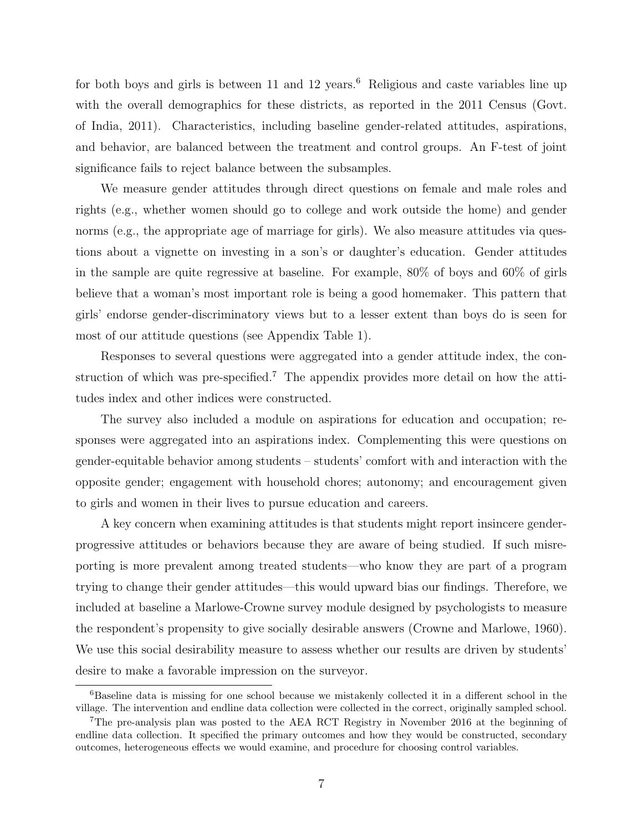for both boys and girls is between 11 and 12 years.<sup>[6](#page-0-0)</sup> Religious and caste variables line up with the overall demographics for these districts, as reported in the 2011 Census [\(Govt.](#page-16-4) [of India,](#page-16-4) [2011\)](#page-16-4). Characteristics, including baseline gender-related attitudes, aspirations, and behavior, are balanced between the treatment and control groups. An F-test of joint significance fails to reject balance between the subsamples.

We measure gender attitudes through direct questions on female and male roles and rights (e.g., whether women should go to college and work outside the home) and gender norms (e.g., the appropriate age of marriage for girls). We also measure attitudes via questions about a vignette on investing in a son's or daughter's education. Gender attitudes in the sample are quite regressive at baseline. For example, 80% of boys and 60% of girls believe that a woman's most important role is being a good homemaker. This pattern that girls' endorse gender-discriminatory views but to a lesser extent than boys do is seen for most of our attitude questions (see Appendix Table [1\)](#page-18-0).

Responses to several questions were aggregated into a gender attitude index, the con-struction of which was pre-specified.<sup>[7](#page-0-0)</sup> The appendix provides more detail on how the attitudes index and other indices were constructed.

The survey also included a module on aspirations for education and occupation; responses were aggregated into an aspirations index. Complementing this were questions on gender-equitable behavior among students – students' comfort with and interaction with the opposite gender; engagement with household chores; autonomy; and encouragement given to girls and women in their lives to pursue education and careers.

A key concern when examining attitudes is that students might report insincere genderprogressive attitudes or behaviors because they are aware of being studied. If such misreporting is more prevalent among treated students—who know they are part of a program trying to change their gender attitudes—this would upward bias our findings. Therefore, we included at baseline a Marlowe-Crowne survey module designed by psychologists to measure the respondent's propensity to give socially desirable answers [\(Crowne and Marlowe,](#page-16-16) [1960\)](#page-16-16). We use this social desirability measure to assess whether our results are driven by students' desire to make a favorable impression on the surveyor.

<sup>6</sup>Baseline data is missing for one school because we mistakenly collected it in a different school in the village. The intervention and endline data collection were collected in the correct, originally sampled school.

<sup>7</sup>The pre-analysis plan was posted to the AEA RCT Registry in November 2016 at the beginning of endline data collection. It specified the primary outcomes and how they would be constructed, secondary outcomes, heterogeneous effects we would examine, and procedure for choosing control variables.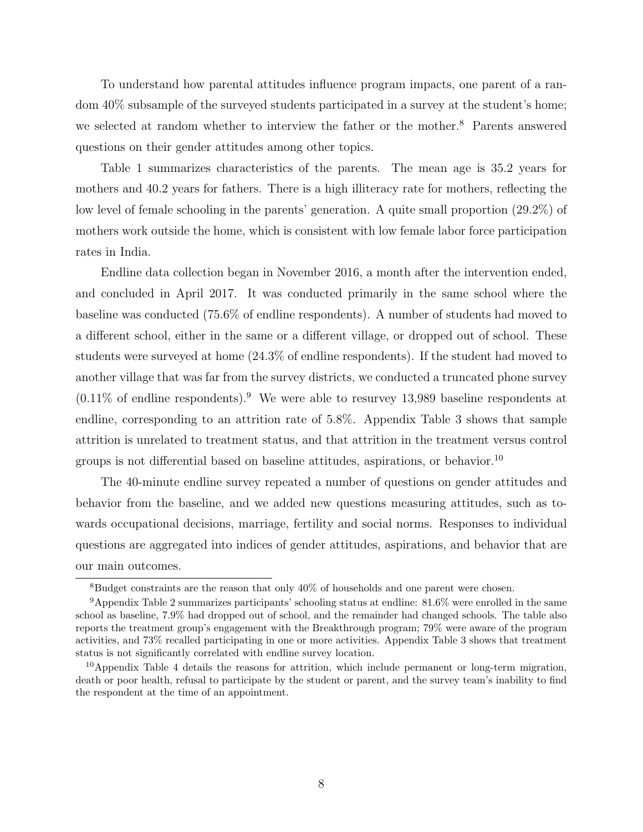To understand how parental attitudes influence program impacts, one parent of a random 40% subsample of the surveyed students participated in a survey at the student's home; we selected at random whether to interview the father or the mother.<sup>[8](#page-0-0)</sup> Parents answered questions on their gender attitudes among other topics.

Table [1](#page-18-0) summarizes characteristics of the parents. The mean age is 35.2 years for mothers and 40.2 years for fathers. There is a high illiteracy rate for mothers, reflecting the low level of female schooling in the parents' generation. A quite small proportion (29.2%) of mothers work outside the home, which is consistent with low female labor force participation rates in India.

Endline data collection began in November 2016, a month after the intervention ended, and concluded in April 2017. It was conducted primarily in the same school where the baseline was conducted (75.6% of endline respondents). A number of students had moved to a different school, either in the same or a different village, or dropped out of school. These students were surveyed at home (24.3% of endline respondents). If the student had moved to another village that was far from the survey districts, we conducted a truncated phone survey  $(0.11\%$  of endline respondents).<sup>[9](#page-0-0)</sup> We were able to resurvey 13,989 baseline respondents at endline, corresponding to an attrition rate of 5.8%. Appendix Table [3](#page-20-0) shows that sample attrition is unrelated to treatment status, and that attrition in the treatment versus control groups is not differential based on baseline attitudes, aspirations, or behavior.<sup>[10](#page-0-0)</sup>

The 40-minute endline survey repeated a number of questions on gender attitudes and behavior from the baseline, and we added new questions measuring attitudes, such as towards occupational decisions, marriage, fertility and social norms. Responses to individual questions are aggregated into indices of gender attitudes, aspirations, and behavior that are our main outcomes.

<sup>8</sup>Budget constraints are the reason that only 40% of households and one parent were chosen.

<sup>9</sup>Appendix Table [2](#page-19-0) summarizes participants' schooling status at endline: 81.6% were enrolled in the same school as baseline, 7.9% had dropped out of school, and the remainder had changed schools. The table also reports the treatment group's engagement with the Breakthrough program; 79% were aware of the program activities, and 73% recalled participating in one or more activities. Appendix Table [3](#page-20-0) shows that treatment status is not significantly correlated with endline survey location.

 $10$ Appendix Table [4](#page-21-0) details the reasons for attrition, which include permanent or long-term migration, death or poor health, refusal to participate by the student or parent, and the survey team's inability to find the respondent at the time of an appointment.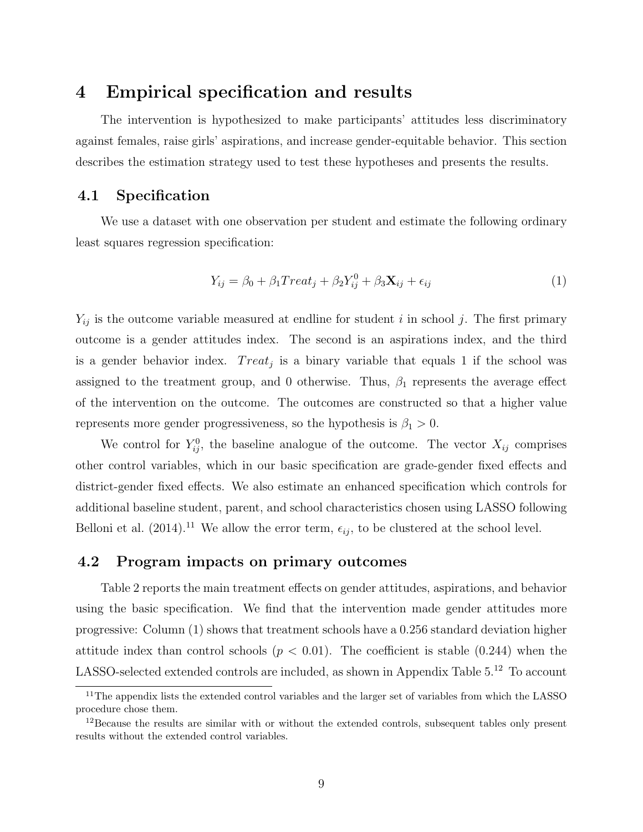## 4 Empirical specification and results

The intervention is hypothesized to make participants' attitudes less discriminatory against females, raise girls' aspirations, and increase gender-equitable behavior. This section describes the estimation strategy used to test these hypotheses and presents the results.

### 4.1 Specification

We use a dataset with one observation per student and estimate the following ordinary least squares regression specification:

$$
Y_{ij} = \beta_0 + \beta_1 Treat_j + \beta_2 Y_{ij}^0 + \beta_3 \mathbf{X}_{ij} + \epsilon_{ij}
$$
\n(1)

 $Y_{ij}$  is the outcome variable measured at endline for student i in school j. The first primary outcome is a gender attitudes index. The second is an aspirations index, and the third is a gender behavior index.  $Treat_j$  is a binary variable that equals 1 if the school was assigned to the treatment group, and 0 otherwise. Thus,  $\beta_1$  represents the average effect of the intervention on the outcome. The outcomes are constructed so that a higher value represents more gender progressiveness, so the hypothesis is  $\beta_1 > 0$ .

We control for  $Y_{ij}^0$ , the baseline analogue of the outcome. The vector  $X_{ij}$  comprises other control variables, which in our basic specification are grade-gender fixed effects and district-gender fixed effects. We also estimate an enhanced specification which controls for additional baseline student, parent, and school characteristics chosen using LASSO following [Belloni et al.](#page-15-14) [\(2014\)](#page-15-14).<sup>[11](#page-0-0)</sup> We allow the error term,  $\epsilon_{ij}$ , to be clustered at the school level.

#### 4.2 Program impacts on primary outcomes

Table [2](#page-19-0) reports the main treatment effects on gender attitudes, aspirations, and behavior using the basic specification. We find that the intervention made gender attitudes more progressive: Column (1) shows that treatment schools have a 0.256 standard deviation higher attitude index than control schools  $(p < 0.01)$ . The coefficient is stable  $(0.244)$  when the LASSO-selected extended controls are included, as shown in Appendix Table [5.](#page-22-0)<sup>[12](#page-0-0)</sup> To account

<sup>&</sup>lt;sup>11</sup>The appendix lists the extended control variables and the larger set of variables from which the LASSO procedure chose them.

 $12$ Because the results are similar with or without the extended controls, subsequent tables only present results without the extended control variables.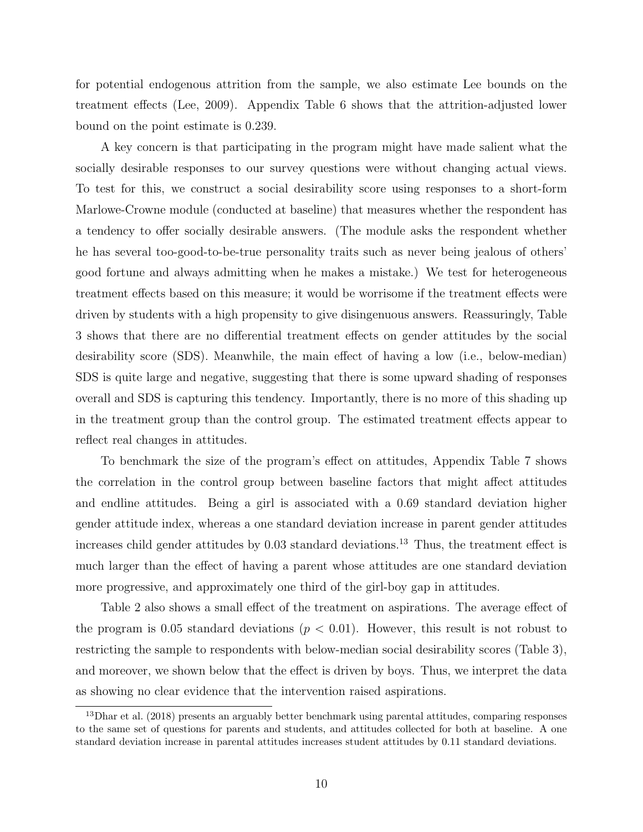for potential endogenous attrition from the sample, we also estimate Lee bounds on the treatment effects [\(Lee,](#page-17-14) [2009\)](#page-17-14). Appendix Table [6](#page-29-0) shows that the attrition-adjusted lower bound on the point estimate is 0.239.

A key concern is that participating in the program might have made salient what the socially desirable responses to our survey questions were without changing actual views. To test for this, we construct a social desirability score using responses to a short-form Marlowe-Crowne module (conducted at baseline) that measures whether the respondent has a tendency to offer socially desirable answers. (The module asks the respondent whether he has several too-good-to-be-true personality traits such as never being jealous of others' good fortune and always admitting when he makes a mistake.) We test for heterogeneous treatment effects based on this measure; it would be worrisome if the treatment effects were driven by students with a high propensity to give disingenuous answers. Reassuringly, Table [3](#page-20-0) shows that there are no differential treatment effects on gender attitudes by the social desirability score (SDS). Meanwhile, the main effect of having a low (i.e., below-median) SDS is quite large and negative, suggesting that there is some upward shading of responses overall and SDS is capturing this tendency. Importantly, there is no more of this shading up in the treatment group than the control group. The estimated treatment effects appear to reflect real changes in attitudes.

To benchmark the size of the program's effect on attitudes, Appendix Table [7](#page-30-0) shows the correlation in the control group between baseline factors that might affect attitudes and endline attitudes. Being a girl is associated with a 0.69 standard deviation higher gender attitude index, whereas a one standard deviation increase in parent gender attitudes increases child gender attitudes by  $0.03$  standard deviations.<sup>[13](#page-0-0)</sup> Thus, the treatment effect is much larger than the effect of having a parent whose attitudes are one standard deviation more progressive, and approximately one third of the girl-boy gap in attitudes.

Table [2](#page-19-0) also shows a small effect of the treatment on aspirations. The average effect of the program is 0.05 standard deviations ( $p < 0.01$ ). However, this result is not robust to restricting the sample to respondents with below-median social desirability scores (Table [3\)](#page-20-0), and moreover, we shown below that the effect is driven by boys. Thus, we interpret the data as showing no clear evidence that the intervention raised aspirations.

<sup>&</sup>lt;sup>13</sup>[Dhar et al.](#page-16-17) [\(2018\)](#page-16-17) presents an arguably better benchmark using parental attitudes, comparing responses to the same set of questions for parents and students, and attitudes collected for both at baseline. A one standard deviation increase in parental attitudes increases student attitudes by 0.11 standard deviations.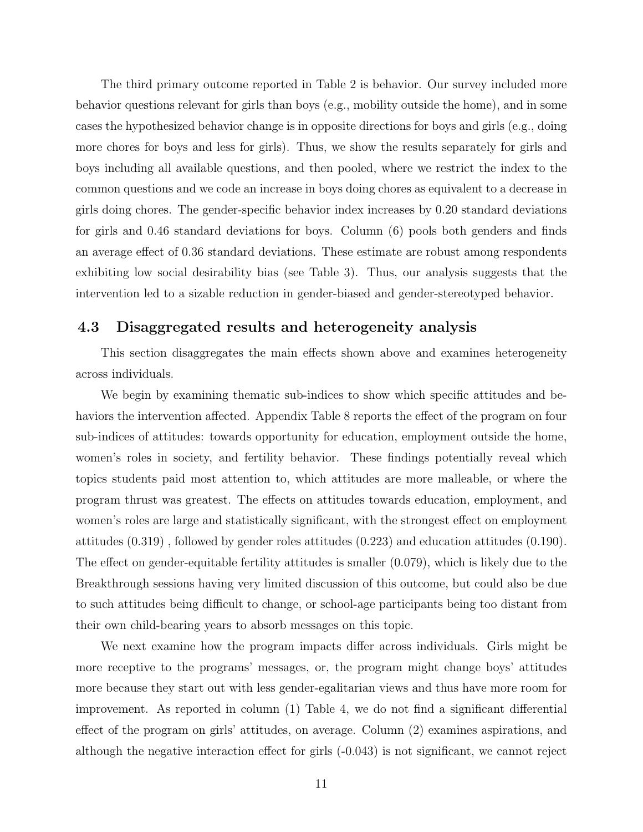The third primary outcome reported in Table [2](#page-19-0) is behavior. Our survey included more behavior questions relevant for girls than boys (e.g., mobility outside the home), and in some cases the hypothesized behavior change is in opposite directions for boys and girls (e.g., doing more chores for boys and less for girls). Thus, we show the results separately for girls and boys including all available questions, and then pooled, where we restrict the index to the common questions and we code an increase in boys doing chores as equivalent to a decrease in girls doing chores. The gender-specific behavior index increases by 0.20 standard deviations for girls and 0.46 standard deviations for boys. Column (6) pools both genders and finds an average effect of 0.36 standard deviations. These estimate are robust among respondents exhibiting low social desirability bias (see Table [3\)](#page-20-0). Thus, our analysis suggests that the intervention led to a sizable reduction in gender-biased and gender-stereotyped behavior.

#### 4.3 Disaggregated results and heterogeneity analysis

This section disaggregates the main effects shown above and examines heterogeneity across individuals.

We begin by examining thematic sub-indices to show which specific attitudes and behaviors the intervention affected. Appendix Table [8](#page-31-0) reports the effect of the program on four sub-indices of attitudes: towards opportunity for education, employment outside the home, women's roles in society, and fertility behavior. These findings potentially reveal which topics students paid most attention to, which attitudes are more malleable, or where the program thrust was greatest. The effects on attitudes towards education, employment, and women's roles are large and statistically significant, with the strongest effect on employment attitudes (0.319) , followed by gender roles attitudes (0.223) and education attitudes (0.190). The effect on gender-equitable fertility attitudes is smaller (0.079), which is likely due to the Breakthrough sessions having very limited discussion of this outcome, but could also be due to such attitudes being difficult to change, or school-age participants being too distant from their own child-bearing years to absorb messages on this topic.

We next examine how the program impacts differ across individuals. Girls might be more receptive to the programs' messages, or, the program might change boys' attitudes more because they start out with less gender-egalitarian views and thus have more room for improvement. As reported in column (1) Table [4,](#page-21-0) we do not find a significant differential effect of the program on girls' attitudes, on average. Column (2) examines aspirations, and although the negative interaction effect for girls (-0.043) is not significant, we cannot reject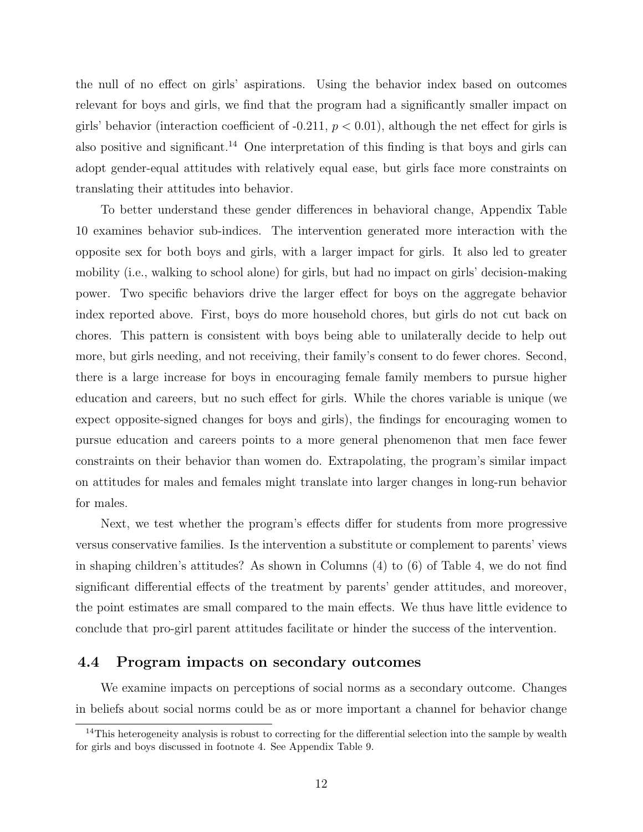the null of no effect on girls' aspirations. Using the behavior index based on outcomes relevant for boys and girls, we find that the program had a significantly smaller impact on girls' behavior (interaction coefficient of  $-0.211$ ,  $p < 0.01$ ), although the net effect for girls is also positive and significant.<sup>[14](#page-0-0)</sup> One interpretation of this finding is that boys and girls can adopt gender-equal attitudes with relatively equal ease, but girls face more constraints on translating their attitudes into behavior.

To better understand these gender differences in behavioral change, Appendix Table [10](#page-33-0) examines behavior sub-indices. The intervention generated more interaction with the opposite sex for both boys and girls, with a larger impact for girls. It also led to greater mobility (i.e., walking to school alone) for girls, but had no impact on girls' decision-making power. Two specific behaviors drive the larger effect for boys on the aggregate behavior index reported above. First, boys do more household chores, but girls do not cut back on chores. This pattern is consistent with boys being able to unilaterally decide to help out more, but girls needing, and not receiving, their family's consent to do fewer chores. Second, there is a large increase for boys in encouraging female family members to pursue higher education and careers, but no such effect for girls. While the chores variable is unique (we expect opposite-signed changes for boys and girls), the findings for encouraging women to pursue education and careers points to a more general phenomenon that men face fewer constraints on their behavior than women do. Extrapolating, the program's similar impact on attitudes for males and females might translate into larger changes in long-run behavior for males.

Next, we test whether the program's effects differ for students from more progressive versus conservative families. Is the intervention a substitute or complement to parents' views in shaping children's attitudes? As shown in Columns (4) to (6) of Table [4,](#page-21-0) we do not find significant differential effects of the treatment by parents' gender attitudes, and moreover, the point estimates are small compared to the main effects. We thus have little evidence to conclude that pro-girl parent attitudes facilitate or hinder the success of the intervention.

#### 4.4 Program impacts on secondary outcomes

We examine impacts on perceptions of social norms as a secondary outcome. Changes in beliefs about social norms could be as or more important a channel for behavior change

<sup>&</sup>lt;sup>14</sup>This heterogeneity analysis is robust to correcting for the differential selection into the sample by wealth for girls and boys discussed in footnote [4.](#page-6-0) See Appendix Table [9.](#page-32-0)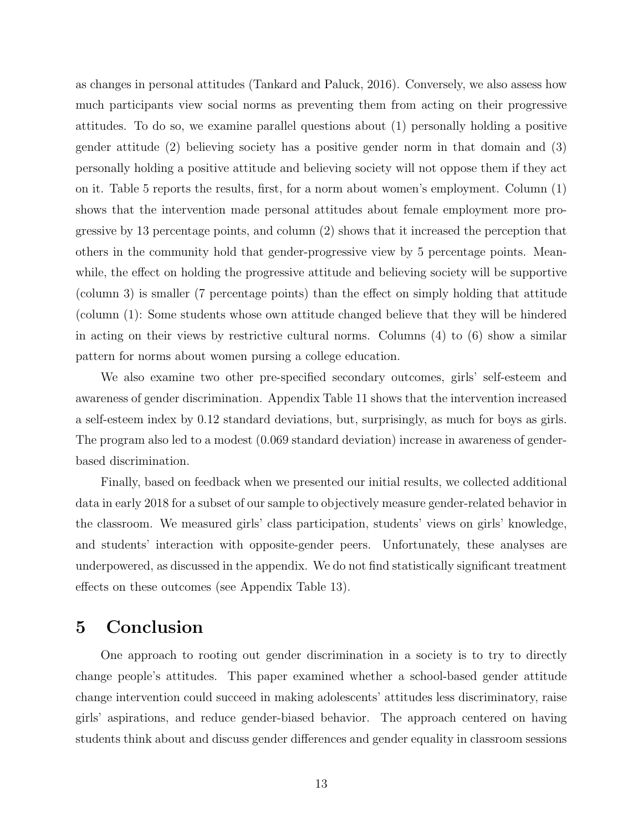as changes in personal attitudes [\(Tankard and Paluck,](#page-17-15) [2016\)](#page-17-15). Conversely, we also assess how much participants view social norms as preventing them from acting on their progressive attitudes. To do so, we examine parallel questions about (1) personally holding a positive gender attitude (2) believing society has a positive gender norm in that domain and (3) personally holding a positive attitude and believing society will not oppose them if they act on it. Table [5](#page-22-0) reports the results, first, for a norm about women's employment. Column (1) shows that the intervention made personal attitudes about female employment more progressive by 13 percentage points, and column (2) shows that it increased the perception that others in the community hold that gender-progressive view by 5 percentage points. Meanwhile, the effect on holding the progressive attitude and believing society will be supportive (column 3) is smaller (7 percentage points) than the effect on simply holding that attitude (column (1): Some students whose own attitude changed believe that they will be hindered in acting on their views by restrictive cultural norms. Columns (4) to (6) show a similar pattern for norms about women pursing a college education.

We also examine two other pre-specified secondary outcomes, girls' self-esteem and awareness of gender discrimination. Appendix Table [11](#page-34-0) shows that the intervention increased a self-esteem index by 0.12 standard deviations, but, surprisingly, as much for boys as girls. The program also led to a modest (0.069 standard deviation) increase in awareness of genderbased discrimination.

Finally, based on feedback when we presented our initial results, we collected additional data in early 2018 for a subset of our sample to objectively measure gender-related behavior in the classroom. We measured girls' class participation, students' views on girls' knowledge, and students' interaction with opposite-gender peers. Unfortunately, these analyses are underpowered, as discussed in the appendix. We do not find statistically significant treatment effects on these outcomes (see Appendix Table [13\)](#page-36-0).

## 5 Conclusion

One approach to rooting out gender discrimination in a society is to try to directly change people's attitudes. This paper examined whether a school-based gender attitude change intervention could succeed in making adolescents' attitudes less discriminatory, raise girls' aspirations, and reduce gender-biased behavior. The approach centered on having students think about and discuss gender differences and gender equality in classroom sessions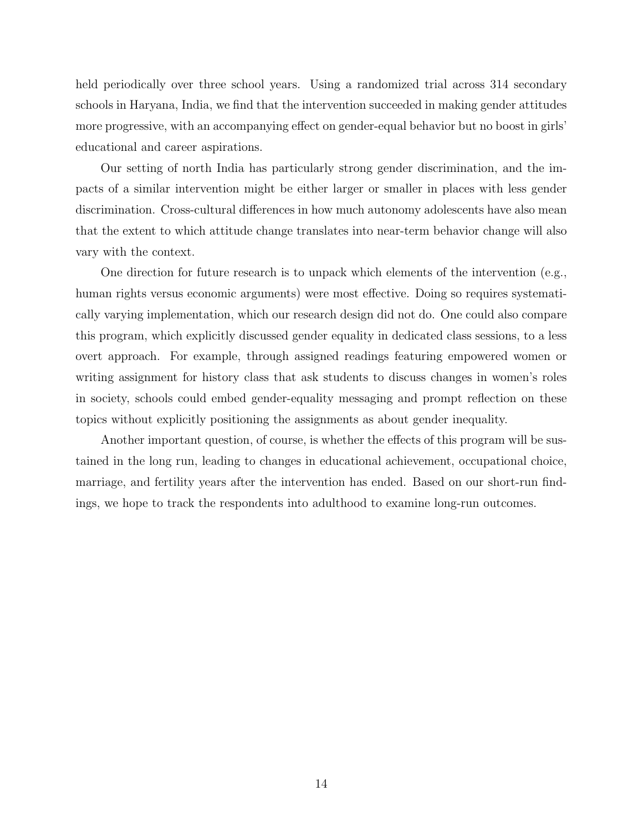held periodically over three school years. Using a randomized trial across 314 secondary schools in Haryana, India, we find that the intervention succeeded in making gender attitudes more progressive, with an accompanying effect on gender-equal behavior but no boost in girls' educational and career aspirations.

Our setting of north India has particularly strong gender discrimination, and the impacts of a similar intervention might be either larger or smaller in places with less gender discrimination. Cross-cultural differences in how much autonomy adolescents have also mean that the extent to which attitude change translates into near-term behavior change will also vary with the context.

One direction for future research is to unpack which elements of the intervention (e.g., human rights versus economic arguments) were most effective. Doing so requires systematically varying implementation, which our research design did not do. One could also compare this program, which explicitly discussed gender equality in dedicated class sessions, to a less overt approach. For example, through assigned readings featuring empowered women or writing assignment for history class that ask students to discuss changes in women's roles in society, schools could embed gender-equality messaging and prompt reflection on these topics without explicitly positioning the assignments as about gender inequality.

Another important question, of course, is whether the effects of this program will be sustained in the long run, leading to changes in educational achievement, occupational choice, marriage, and fertility years after the intervention has ended. Based on our short-run findings, we hope to track the respondents into adulthood to examine long-run outcomes.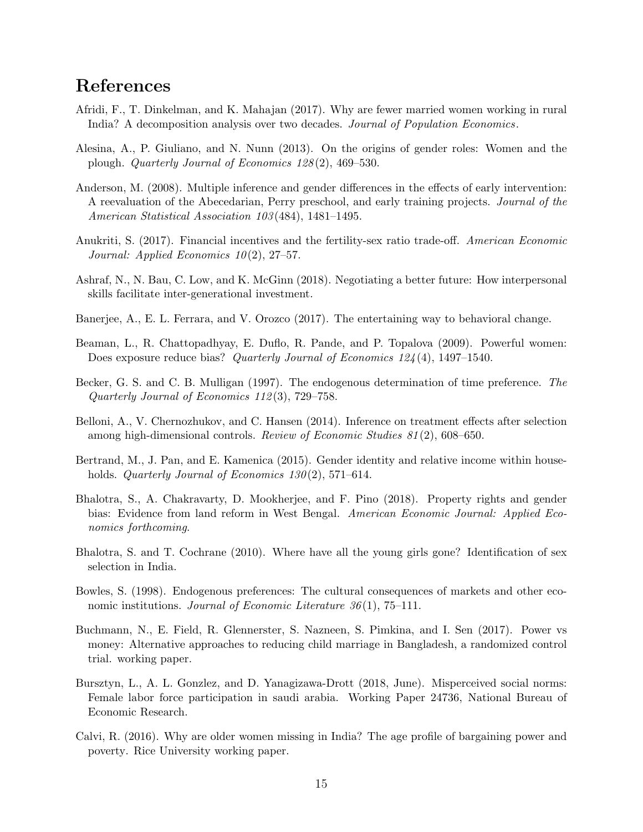## References

- <span id="page-15-6"></span>Afridi, F., T. Dinkelman, and K. Mahajan (2017). Why are fewer married women working in rural India? A decomposition analysis over two decades. Journal of Population Economics.
- <span id="page-15-1"></span>Alesina, A., P. Giuliano, and N. Nunn (2013). On the origins of gender roles: Women and the plough. Quarterly Journal of Economics 128 (2), 469–530.
- <span id="page-15-15"></span>Anderson, M. (2008). Multiple inference and gender differences in the effects of early intervention: A reevaluation of the Abecedarian, Perry preschool, and early training projects. Journal of the American Statistical Association 103(484), 1481–1495.
- <span id="page-15-11"></span>Anukriti, S. (2017). Financial incentives and the fertility-sex ratio trade-off. American Economic Journal: Applied Economics  $10(2)$ , 27–57.
- <span id="page-15-13"></span>Ashraf, N., N. Bau, C. Low, and K. McGinn (2018). Negotiating a better future: How interpersonal skills facilitate inter-generational investment.
- <span id="page-15-7"></span>Banerjee, A., E. L. Ferrara, and V. Orozco (2017). The entertaining way to behavioral change.
- <span id="page-15-2"></span>Beaman, L., R. Chattopadhyay, E. Duflo, R. Pande, and P. Topalova (2009). Powerful women: Does exposure reduce bias? Quarterly Journal of Economics 124(4), 1497–1540.
- <span id="page-15-3"></span>Becker, G. S. and C. B. Mulligan (1997). The endogenous determination of time preference. The Quarterly Journal of Economics 112 (3), 729–758.
- <span id="page-15-14"></span>Belloni, A., V. Chernozhukov, and C. Hansen (2014). Inference on treatment effects after selection among high-dimensional controls. Review of Economic Studies 81 (2), 608–650.
- <span id="page-15-0"></span>Bertrand, M., J. Pan, and E. Kamenica (2015). Gender identity and relative income within households. Quarterly Journal of Economics  $130(2)$ , 571–614.
- <span id="page-15-9"></span>Bhalotra, S., A. Chakravarty, D. Mookherjee, and F. Pino (2018). Property rights and gender bias: Evidence from land reform in West Bengal. American Economic Journal: Applied Economics forthcoming.
- <span id="page-15-10"></span>Bhalotra, S. and T. Cochrane (2010). Where have all the young girls gone? Identification of sex selection in India.
- <span id="page-15-4"></span>Bowles, S. (1998). Endogenous preferences: The cultural consequences of markets and other economic institutions. Journal of Economic Literature  $36(1)$ , 75–111.
- <span id="page-15-12"></span>Buchmann, N., E. Field, R. Glennerster, S. Nazneen, S. Pimkina, and I. Sen (2017). Power vs money: Alternative approaches to reducing child marriage in Bangladesh, a randomized control trial. working paper.
- <span id="page-15-8"></span>Bursztyn, L., A. L. Gonzlez, and D. Yanagizawa-Drott (2018, June). Misperceived social norms: Female labor force participation in saudi arabia. Working Paper 24736, National Bureau of Economic Research.
- <span id="page-15-5"></span>Calvi, R. (2016). Why are older women missing in India? The age profile of bargaining power and poverty. Rice University working paper.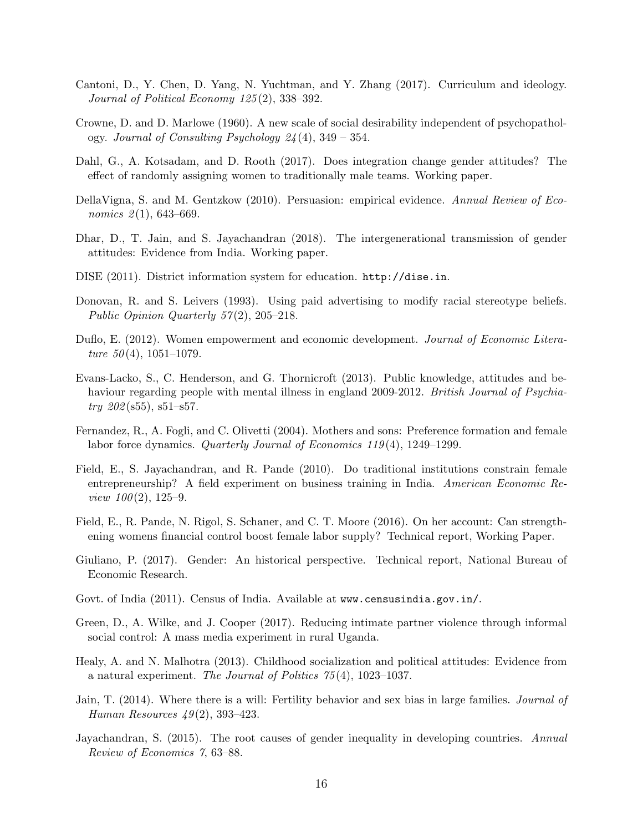- <span id="page-16-12"></span>Cantoni, D., Y. Chen, D. Yang, N. Yuchtman, and Y. Zhang (2017). Curriculum and ideology. Journal of Political Economy 125 (2), 338–392.
- <span id="page-16-16"></span>Crowne, D. and D. Marlowe (1960). A new scale of social desirability independent of psychopathology. Journal of Consulting Psychology  $24(4)$ , 349 – 354.
- <span id="page-16-7"></span>Dahl, G., A. Kotsadam, and D. Rooth (2017). Does integration change gender attitudes? The effect of randomly assigning women to traditionally male teams. Working paper.
- <span id="page-16-8"></span>DellaVigna, S. and M. Gentzkow (2010). Persuasion: empirical evidence. Annual Review of Economics  $2(1)$ , 643-669.
- <span id="page-16-17"></span>Dhar, D., T. Jain, and S. Jayachandran (2018). The intergenerational transmission of gender attitudes: Evidence from India. Working paper.
- <span id="page-16-15"></span>DISE (2011). District information system for education. <http://dise.in>.
- <span id="page-16-11"></span>Donovan, R. and S. Leivers (1993). Using paid advertising to modify racial stereotype beliefs. Public Opinion Quarterly 57(2), 205–218.
- <span id="page-16-0"></span>Duflo, E. (2012). Women empowerment and economic development. Journal of Economic Literature  $50(4)$ , 1051-1079.
- <span id="page-16-10"></span>Evans-Lacko, S., C. Henderson, and G. Thornicroft (2013). Public knowledge, attitudes and behaviour regarding people with mental illness in england 2009-2012. British Journal of Psychia $try 202(s55), s51-s57.$
- <span id="page-16-5"></span>Fernandez, R., A. Fogli, and C. Olivetti (2004). Mothers and sons: Preference formation and female labor force dynamics. Quarterly Journal of Economics 119 (4), 1249–1299.
- <span id="page-16-3"></span>Field, E., S. Jayachandran, and R. Pande (2010). Do traditional institutions constrain female entrepreneurship? A field experiment on business training in India. American Economic Review  $100(2)$ , 125–9.
- <span id="page-16-14"></span>Field, E., R. Pande, N. Rigol, S. Schaner, and C. T. Moore (2016). On her account: Can strengthening womens financial control boost female labor supply? Technical report, Working Paper.
- <span id="page-16-2"></span>Giuliano, P. (2017). Gender: An historical perspective. Technical report, National Bureau of Economic Research.
- <span id="page-16-4"></span>Govt. of India (2011). Census of India. Available at www.censusindia.gov.in/.
- <span id="page-16-9"></span>Green, D., A. Wilke, and J. Cooper (2017). Reducing intimate partner violence through informal social control: A mass media experiment in rural Uganda.
- <span id="page-16-6"></span>Healy, A. and N. Malhotra (2013). Childhood socialization and political attitudes: Evidence from a natural experiment. The Journal of Politics 75 (4), 1023–1037.
- <span id="page-16-13"></span>Jain, T. (2014). Where there is a will: Fertility behavior and sex bias in large families. Journal of Human Resources  $49(2)$ , 393-423.
- <span id="page-16-1"></span>Jayachandran, S. (2015). The root causes of gender inequality in developing countries. Annual Review of Economics 7, 63–88.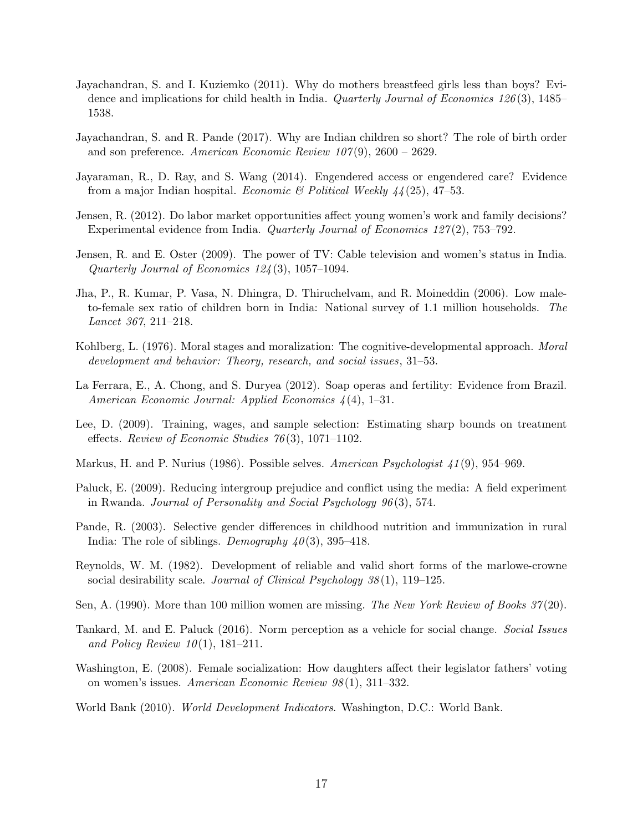- <span id="page-17-11"></span>Jayachandran, S. and I. Kuziemko (2011). Why do mothers breastfeed girls less than boys? Evidence and implications for child health in India. Quarterly Journal of Economics 126(3), 1485– 1538.
- <span id="page-17-12"></span>Jayachandran, S. and R. Pande (2017). Why are Indian children so short? The role of birth order and son preference. American Economic Review  $107(9)$ , 2600 – 2629.
- <span id="page-17-6"></span>Jayaraman, R., D. Ray, and S. Wang (2014). Engendered access or engendered care? Evidence from a major Indian hospital. *Economic & Political Weekly*  $44(25)$ , 47–53.
- <span id="page-17-13"></span>Jensen, R. (2012). Do labor market opportunities affect young women's work and family decisions? Experimental evidence from India. *Quarterly Journal of Economics 127(2)*, 753–792.
- <span id="page-17-0"></span>Jensen, R. and E. Oster (2009). The power of TV: Cable television and women's status in India. Quarterly Journal of Economics 124 (3), 1057–1094.
- <span id="page-17-8"></span>Jha, P., R. Kumar, P. Vasa, N. Dhingra, D. Thiruchelvam, and R. Moineddin (2006). Low maleto-female sex ratio of children born in India: National survey of 1.1 million households. The Lancet 367, 211–218.
- <span id="page-17-2"></span>Kohlberg, L. (1976). Moral stages and moralization: The cognitive-developmental approach. *Moral* development and behavior: Theory, research, and social issues, 31–53.
- <span id="page-17-1"></span>La Ferrara, E., A. Chong, and S. Duryea (2012). Soap operas and fertility: Evidence from Brazil. American Economic Journal: Applied Economics 4 (4), 1–31.
- <span id="page-17-14"></span>Lee, D. (2009). Training, wages, and sample selection: Estimating sharp bounds on treatment effects. Review of Economic Studies  $76(3)$ , 1071–1102.
- <span id="page-17-3"></span>Markus, H. and P. Nurius (1986). Possible selves. American Psychologist 41(9), 954–969.
- <span id="page-17-10"></span>Paluck, E. (2009). Reducing intergroup prejudice and conflict using the media: A field experiment in Rwanda. Journal of Personality and Social Psychology 96 (3), 574.
- <span id="page-17-5"></span>Pande, R. (2003). Selective gender differences in childhood nutrition and immunization in rural India: The role of siblings. Demography  $40(3)$ , 395–418.
- <span id="page-17-16"></span>Reynolds, W. M. (1982). Development of reliable and valid short forms of the marlowe-crowne social desirability scale. *Journal of Clinical Psychology 38*(1), 119–125.
- <span id="page-17-7"></span>Sen, A. (1990). More than 100 million women are missing. The New York Review of Books 37(20).
- <span id="page-17-15"></span>Tankard, M. and E. Paluck (2016). Norm perception as a vehicle for social change. Social Issues and Policy Review  $10(1)$ , 181–211.
- <span id="page-17-9"></span>Washington, E. (2008). Female socialization: How daughters affect their legislator fathers' voting on women's issues. American Economic Review 98 (1), 311–332.
- <span id="page-17-4"></span>World Bank (2010). World Development Indicators. Washington, D.C.: World Bank.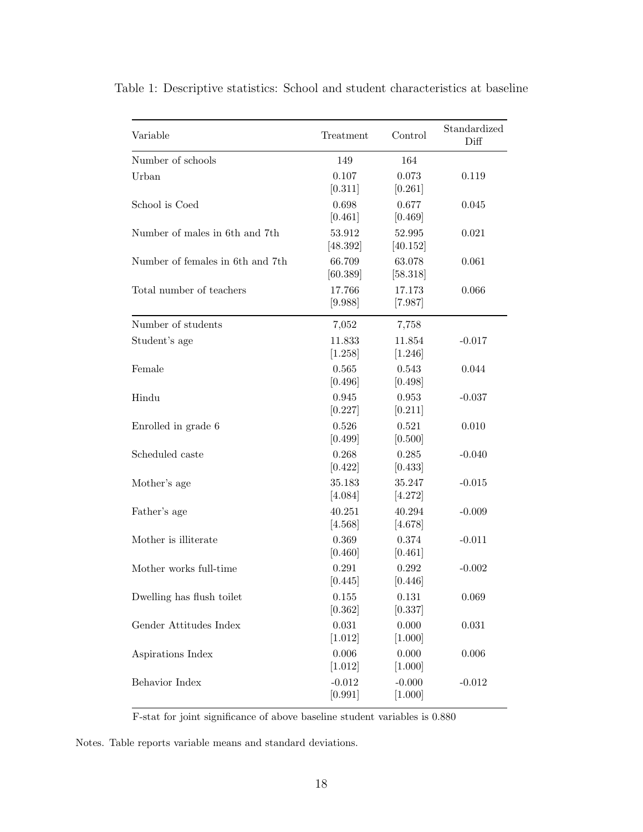| Variable                         | Treatment           | Control             | Standardized<br>Diff |
|----------------------------------|---------------------|---------------------|----------------------|
| Number of schools                | 149                 | 164                 |                      |
| Urban                            | 0.107<br>[0.311]    | 0.073<br>[0.261]    | 0.119                |
| School is Coed                   | 0.698<br>[0.461]    | 0.677<br>[0.469]    | 0.045                |
| Number of males in 6th and 7th   | 53.912<br>[48.392]  | 52.995<br>[40.152]  | 0.021                |
| Number of females in 6th and 7th | 66.709<br>[60.389]  | 63.078<br>[58.318]  | 0.061                |
| Total number of teachers         | 17.766<br>[9.988]   | 17.173<br>[7.987]   | 0.066                |
| Number of students               | 7,052               | 7,758               |                      |
| Student's age                    | 11.833<br>[1.258]   | 11.854<br>[1.246]   | $-0.017$             |
| Female                           | 0.565<br>[0.496]    | 0.543<br>[0.498]    | 0.044                |
| Hindu                            | 0.945<br>[0.227]    | 0.953<br>[0.211]    | $-0.037$             |
| Enrolled in grade 6              | 0.526<br>[0.499]    | 0.521<br>[0.500]    | 0.010                |
| Scheduled caste                  | 0.268<br>[0.422]    | 0.285<br>[0.433]    | $-0.040$             |
| Mother's age                     | 35.183<br>[4.084]   | 35.247<br>[4.272]   | $-0.015$             |
| Father's age                     | 40.251<br>[4.568]   | 40.294<br>[4.678]   | $-0.009$             |
| Mother is illiterate             | 0.369<br>[0.460]    | 0.374<br>[0.461]    | $-0.011$             |
| Mother works full-time           | 0.291<br>[0.445]    | 0.292<br>[0.446]    | $-0.002$             |
| Dwelling has flush toilet        | 0.155<br>[0.362]    | 0.131<br>[0.337]    | 0.069                |
| Gender Attitudes Index           | 0.031<br>[1.012]    | 0.000<br>[1.000]    | 0.031                |
| Aspirations Index                | 0.006<br>[1.012]    | 0.000<br>[1.000]    | 0.006                |
| Behavior Index                   | $-0.012$<br>[0.991] | $-0.000$<br>[1.000] | $-0.012$             |

<span id="page-18-0"></span>Table 1: Descriptive statistics: School and student characteristics at baseline

F-stat for joint significance of above baseline student variables is 0.880

Notes. Table reports variable means and standard deviations.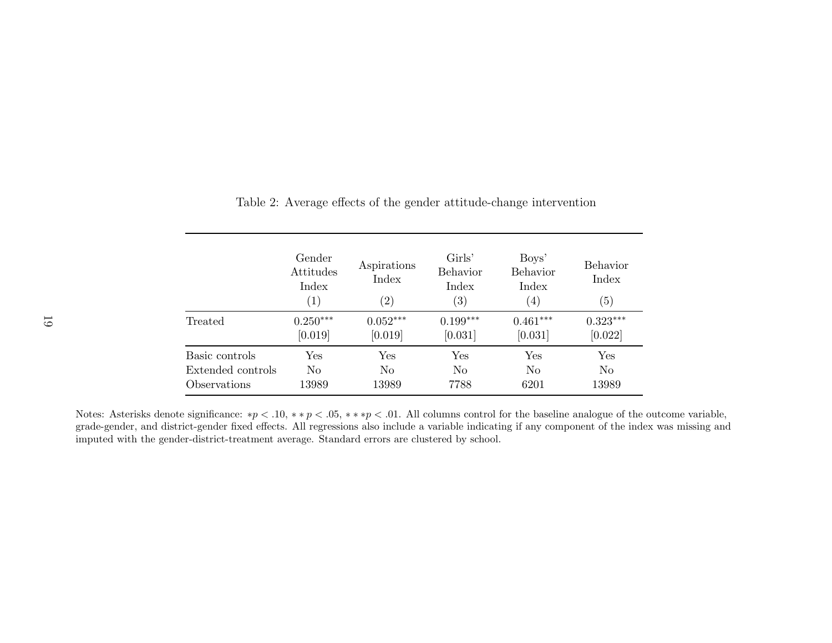|                   | Gender<br>Attitudes<br>Index<br>$\left( 1\right)$ | Aspirations<br>Index<br>$^{\prime}2)$ | Girls'<br><b>Behavior</b><br>Index<br>$\left( 3\right)$ | Boys'<br><b>Behavior</b><br>Index<br>$\left( 4\right)$ | <b>Behavior</b><br>Index<br>$\left( 5\right)$ |
|-------------------|---------------------------------------------------|---------------------------------------|---------------------------------------------------------|--------------------------------------------------------|-----------------------------------------------|
| Treated           | $0.250***$                                        | $0.052***$                            | $0.199***$                                              | $0.461***$                                             | $0.323***$                                    |
|                   | [0.019]                                           | [0.019]                               | [0.031]                                                 | [0.031]                                                | [0.022]                                       |
| Basic controls    | Yes                                               | Yes                                   | Yes                                                     | Yes                                                    | Yes                                           |
| Extended controls | No                                                | N <sub>0</sub>                        | N <sub>0</sub>                                          | N <sub>0</sub>                                         | N <sub>0</sub>                                |
| Observations      | 13989                                             | 13989                                 | 7788                                                    | 6201                                                   | 13989                                         |

<span id="page-19-0"></span>Table 2: Average effects of the gender attitude-change intervention

Notes: Asterisks denote significance: \* $p < .10$ , \*\* $p < .05$ , \*\*\* $p < .01$ . All columns control for the baseline analogue of the outcome variable, grade-gender, and district-gender fixed effects. All regressions also include <sup>a</sup> variable indicating if any component of the index was missing andimputed with the gender-district-treatment average. Standard errors are clustered by school.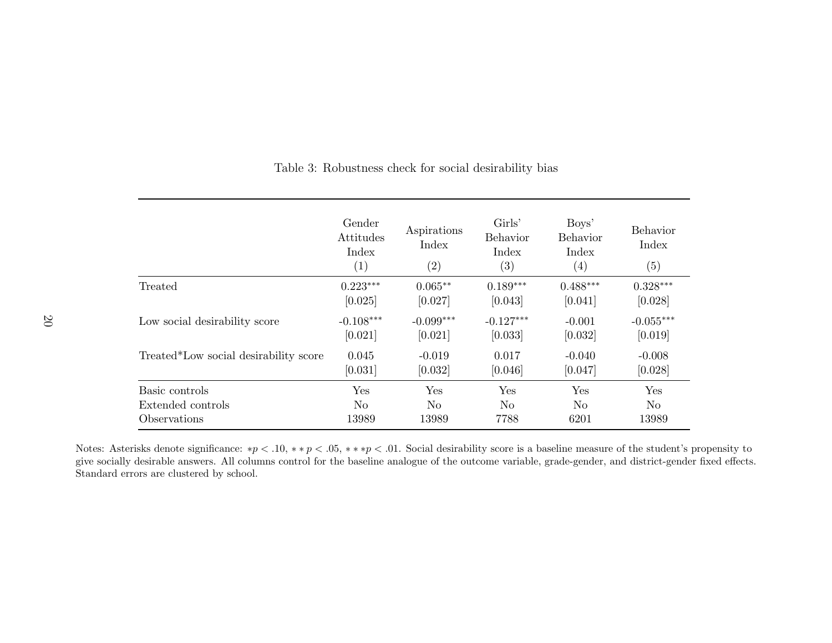|                                       | Gender<br>Attitudes<br>Index<br>(1) | Aspirations<br>Index<br>(2) | Girls'<br>Behavior<br>Index<br>$\left( 3\right)$ | Boys'<br>Behavior<br>Index<br>$\left( 4\right)$ | <b>Behavior</b><br>Index<br>(5) |
|---------------------------------------|-------------------------------------|-----------------------------|--------------------------------------------------|-------------------------------------------------|---------------------------------|
| Treated                               | $0.223***$                          | $0.065**$                   | $0.189***$                                       | $0.488***$                                      | $0.328***$                      |
|                                       | [0.025]                             | [0.027]                     | [0.043]                                          | [0.041]                                         | [0.028]                         |
| Low social desirability score         | $-0.108***$                         | $-0.099***$                 | $-0.127***$                                      | $-0.001$                                        | $-0.055***$                     |
|                                       | [0.021]                             | [0.021]                     | [0.033]                                          | [0.032]                                         | [0.019]                         |
| Treated*Low social desirability score | 0.045                               | $-0.019$                    | 0.017                                            | $-0.040$                                        | $-0.008$                        |
|                                       | [0.031]                             | [0.032]                     | [0.046]                                          | [0.047]                                         | [0.028]                         |
| Basic controls                        | Yes                                 | Yes                         | Yes                                              | Yes                                             | Yes                             |
| Extended controls                     | No                                  | N <sub>o</sub>              | No                                               | No                                              | N <sub>o</sub>                  |
| Observations                          | 13989                               | 13989                       | 7788                                             | 6201                                            | 13989                           |

<span id="page-20-0"></span>Table 3: Robustness check for social desirability bias

Notes: Asterisks denote significance: \* $p < 0.10,$  \*\* $p < 0.05,$  \*\*\* $p < 0.01$ . Social desirability score is a baseline measure of the student's propensity to give socially desirable answers. All columns control for the baseline analogue of the outcome variable, grade-gender, and district-gender fixed effects. Standard errors are clustered by school.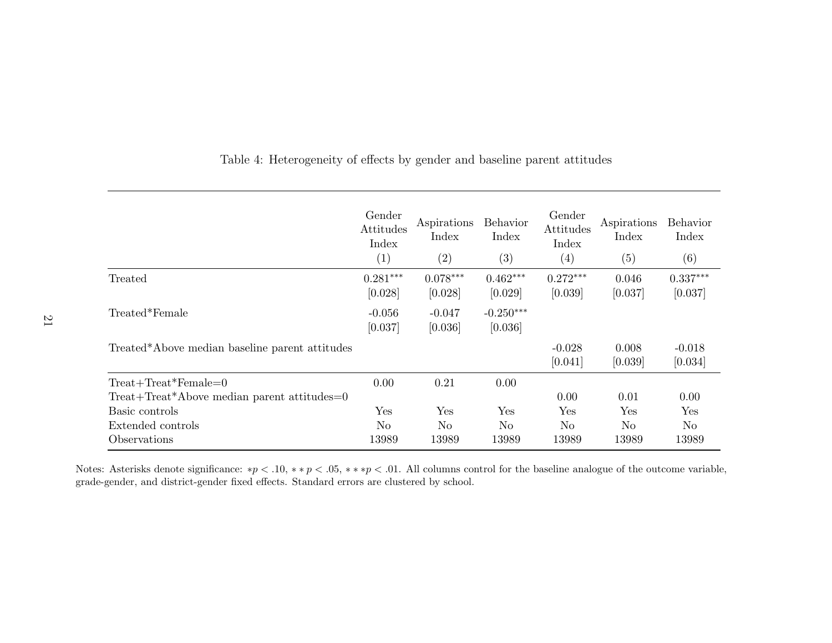|                                                | Gender<br>Attitudes<br>Index<br>(1) | Aspirations<br>Index<br>$\left( 2\right)$ | Behavior<br>Index<br>$\left( 3\right)$ | Gender<br>Attitudes<br>Index<br>$\left( 4\right)$ | Aspirations<br>Index<br>(5) | <b>Behavior</b><br>Index<br>(6) |
|------------------------------------------------|-------------------------------------|-------------------------------------------|----------------------------------------|---------------------------------------------------|-----------------------------|---------------------------------|
| Treated                                        | $0.281***$<br>[0.028]               | $0.078***$<br>[0.028]                     | $0.462***$<br>[0.029]                  | $0.272***$<br>[0.039]                             | 0.046<br>[0.037]            | $0.337***$<br>[0.037]           |
| Treated*Female                                 | $-0.056$<br>[0.037]                 | $-0.047$<br>[0.036]                       | $-0.250***$<br>[0.036]                 |                                                   |                             |                                 |
| Treated*Above median baseline parent attitudes |                                     |                                           |                                        | $-0.028$<br>[0.041]                               | 0.008<br>[0.039]            | $-0.018$<br>[0.034]             |
| $Treat + Treat*Female=0$                       | 0.00                                | 0.21                                      | 0.00                                   |                                                   |                             |                                 |
| Treat+Treat*Above median parent attitudes=0    |                                     |                                           |                                        | 0.00                                              | 0.01                        | 0.00                            |
| Basic controls                                 | Yes                                 | Yes                                       | Yes                                    | Yes                                               | Yes                         | Yes                             |
| Extended controls                              | N <sub>o</sub>                      | No                                        | N <sub>o</sub>                         | No.                                               | N <sub>o</sub>              | N <sub>o</sub>                  |
| Observations                                   | 13989                               | 13989                                     | 13989                                  | 13989                                             | 13989                       | 13989                           |

<span id="page-21-0"></span>Table 4: Heterogeneity of effects by gender and baseline parent attitudes

Notes: Asterisks denote significance: \* $p < .10$ , \*\* $p < .05$ , \*\*\* $p < .01$ . All columns control for the baseline analogue of the outcome variable, grade-gender, and district-gender fixed effects. Standard errors are clustered by school.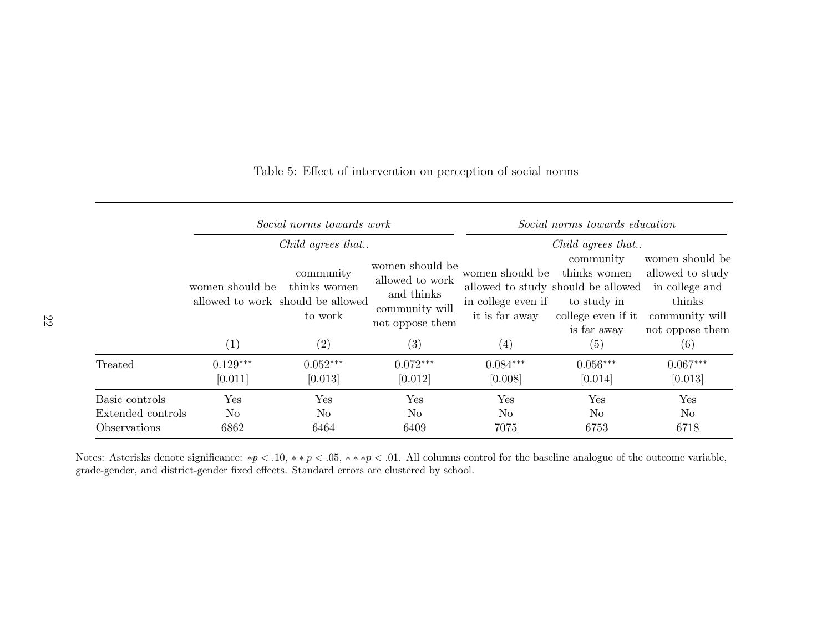|                                                     |                               | Social norms towards work                                                                      | Social norms towards education                                                        |                                                         |                                                                                                                                          |                                                                                                      |
|-----------------------------------------------------|-------------------------------|------------------------------------------------------------------------------------------------|---------------------------------------------------------------------------------------|---------------------------------------------------------|------------------------------------------------------------------------------------------------------------------------------------------|------------------------------------------------------------------------------------------------------|
|                                                     | women should be               | Child agrees that<br>community<br>thinks women<br>allowed to work should be allowed<br>to work | women should be<br>allowed to work<br>and thinks<br>community will<br>not oppose them | women should be<br>in college even if<br>it is far away | Child agrees that<br>community<br>thinks women<br>allowed to study should be allowed<br>to study in<br>college even if it<br>is far away | women should be<br>allowed to study<br>in college and<br>thinks<br>community will<br>not oppose them |
|                                                     | (1)                           | (2)                                                                                            | (3)                                                                                   | (4)                                                     | (5)                                                                                                                                      | (6)                                                                                                  |
| Treated                                             | $0.129***$<br>[0.011]         | $0.052***$<br>[0.013]                                                                          | $0.072***$<br>[0.012]                                                                 | $0.084***$<br>[0.008]                                   | $0.056***$<br>[0.014]                                                                                                                    | $0.067***$<br>[0.013]                                                                                |
| Basic controls<br>Extended controls<br>Observations | Yes<br>N <sub>o</sub><br>6862 | Yes<br>N <sub>o</sub><br>6464                                                                  | Yes<br>N <sub>o</sub><br>6409                                                         | Yes<br>N <sub>o</sub><br>7075                           | Yes<br>N <sub>o</sub><br>6753                                                                                                            | Yes<br>No<br>6718                                                                                    |

#### <span id="page-22-0"></span>Table 5: Effect of intervention on perception of social norms

Notes: Asterisks denote significance: \* $p < .10$ , \*\* $p < .05$ , \*\*\* $p < .01$ . All columns control for the baseline analogue of the outcome variable, grade-gender, and district-gender fixed effects. Standard errors are clustered by school.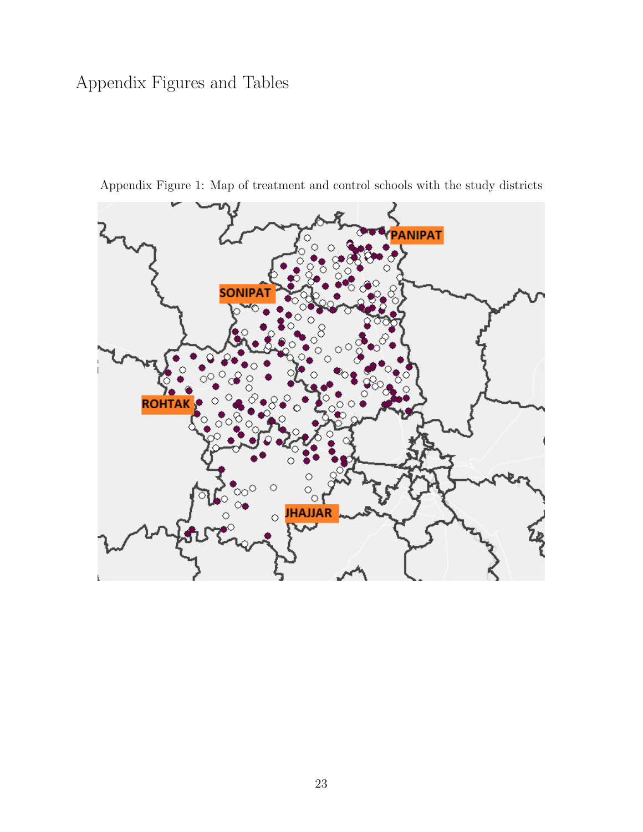## Appendix Figures and Tables



<span id="page-23-0"></span>Appendix Figure 1: Map of treatment and control schools with the study districts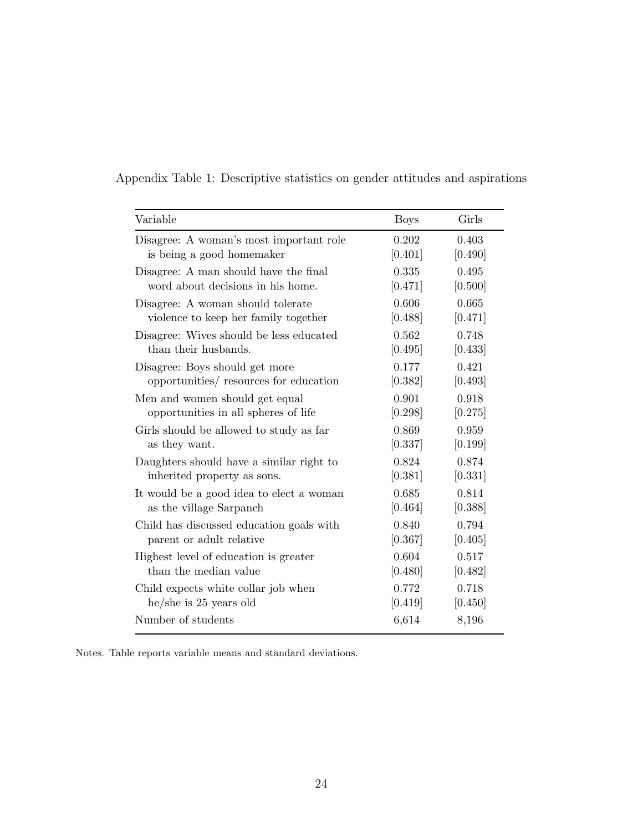| Appendix Table 1: Descriptive statistics on gender attitudes and aspirations |  |  |  |  |  |  |  |  |
|------------------------------------------------------------------------------|--|--|--|--|--|--|--|--|
|------------------------------------------------------------------------------|--|--|--|--|--|--|--|--|

| Variable                                 | <b>Boys</b> | Girls   |
|------------------------------------------|-------------|---------|
| Disagree: A woman's most important role  | 0.202       | 0.403   |
| is being a good homemaker                | [0.401]     | [0.490] |
| Disagree: A man should have the final    | 0.335       | 0.495   |
| word about decisions in his home.        | [0.471]     | [0.500] |
| Disagree: A woman should tolerate        | 0.606       | 0.665   |
| violence to keep her family together     | [0.488]     | [0.471] |
| Disagree: Wives should be less educated  | 0.562       | 0.748   |
| than their husbands.                     | [0.495]     | [0.433] |
| Disagree: Boys should get more           | 0.177       | 0.421   |
| opportunities/ resources for education   | [0.382]     | [0.493] |
| Men and women should get equal           | 0.901       | 0.918   |
| opportunities in all spheres of life     | [0.298]     | [0.275] |
| Girls should be allowed to study as far  | 0.869       | 0.959   |
| as they want.                            | [0.337]     | [0.199] |
| Daughters should have a similar right to | 0.824       | 0.874   |
| inherited property as sons.              | [0.381]     | [0.331] |
| It would be a good idea to elect a woman | 0.685       | 0.814   |
| as the village Sarpanch                  | [0.464]     | [0.388] |
| Child has discussed education goals with | 0.840       | 0.794   |
| parent or adult relative                 | [0.367]     | [0.405] |
| Highest level of education is greater    | 0.604       | 0.517   |
| than the median value                    | [0.480]     | [0.482] |
| Child expects white collar job when      | 0.772       | 0.718   |
| $he/she$ is 25 years old                 | [0.419]     | [0.450] |
| Number of students                       | 6,614       | 8,196   |

Notes. Table reports variable means and standard deviations.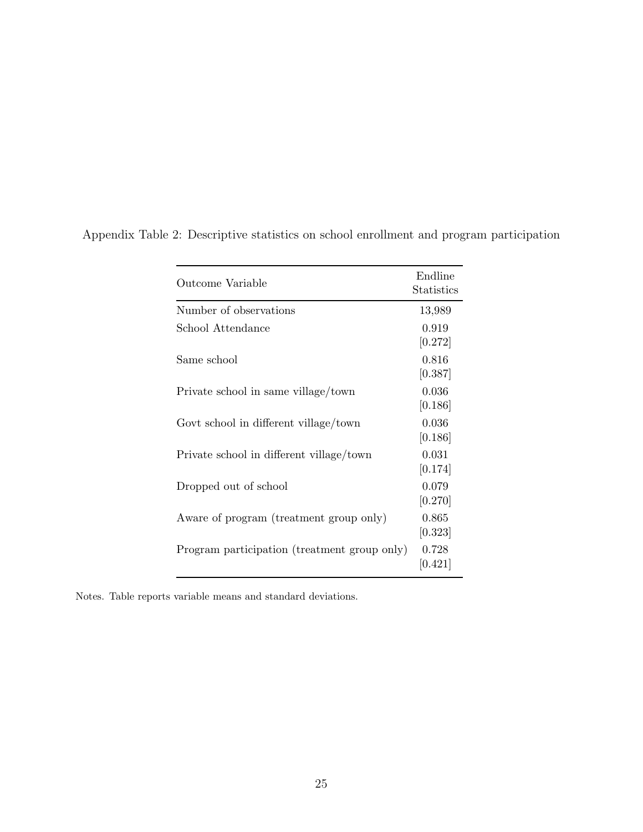| Outcome Variable                             | Endline<br>Statistics |
|----------------------------------------------|-----------------------|
| Number of observations                       | 13,989                |
| School Attendance                            | 0.919<br>[0.272]      |
| Same school                                  | 0.816<br>[0.387]      |
| Private school in same village/town          | 0.036<br>[0.186]      |
| Govt school in different village/town        | 0.036<br>[0.186]      |
| Private school in different village/town     | 0.031<br>[0.174]      |
| Dropped out of school                        | 0.079<br>[0.270]      |
| Aware of program (treatment group only)      | 0.865<br>[0.323]      |
| Program participation (treatment group only) | 0.728<br>[0.421]      |

Appendix Table 2: Descriptive statistics on school enrollment and program participation

Notes. Table reports variable means and standard deviations.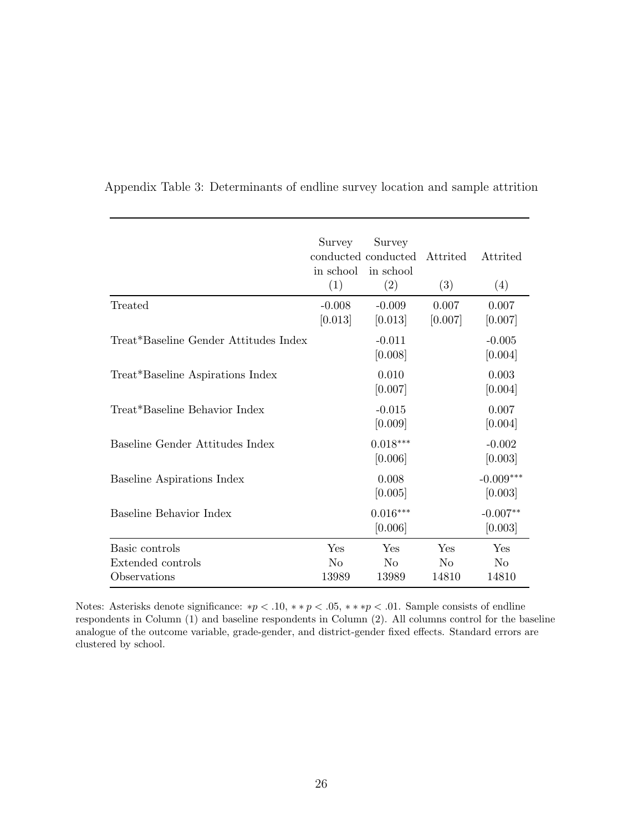|                                                     | Survey<br>in school<br>(1)     | Survey<br>conducted conducted<br>in school<br>(2) | Attrited<br>(3)                | Attrited<br>(4)                |
|-----------------------------------------------------|--------------------------------|---------------------------------------------------|--------------------------------|--------------------------------|
| Treated                                             | $-0.008$<br>[0.013]            | $-0.009$<br>[0.013]                               | 0.007<br>[0.007]               | 0.007<br>[0.007]               |
| Treat*Baseline Gender Attitudes Index               |                                | $-0.011$<br>[0.008]                               |                                | $-0.005$<br>[0.004]            |
| Treat*Baseline Aspirations Index                    |                                | 0.010<br>[0.007]                                  |                                | 0.003<br>[0.004]               |
| Treat*Baseline Behavior Index                       |                                | $-0.015$<br>[0.009]                               |                                | 0.007<br>[0.004]               |
| Baseline Gender Attitudes Index                     |                                | $0.018***$<br>[0.006]                             |                                | $-0.002$<br>[0.003]            |
| Baseline Aspirations Index                          |                                | 0.008<br>[0.005]                                  |                                | $-0.009***$<br>[0.003]         |
| Baseline Behavior Index                             |                                | $0.016***$<br>[0.006]                             |                                | $-0.007**$<br>[0.003]          |
| Basic controls<br>Extended controls<br>Observations | Yes<br>N <sub>o</sub><br>13989 | Yes<br>$\rm No$<br>13989                          | Yes<br>N <sub>o</sub><br>14810 | Yes<br>N <sub>o</sub><br>14810 |

Appendix Table 3: Determinants of endline survey location and sample attrition

Notes: Asterisks denote significance: \* $p < .10$ , \*\* $p < .05$ , \*\*\* $p < .01$ . Sample consists of endline respondents in Column (1) and baseline respondents in Column (2). All columns control for the baseline analogue of the outcome variable, grade-gender, and district-gender fixed effects. Standard errors are clustered by school.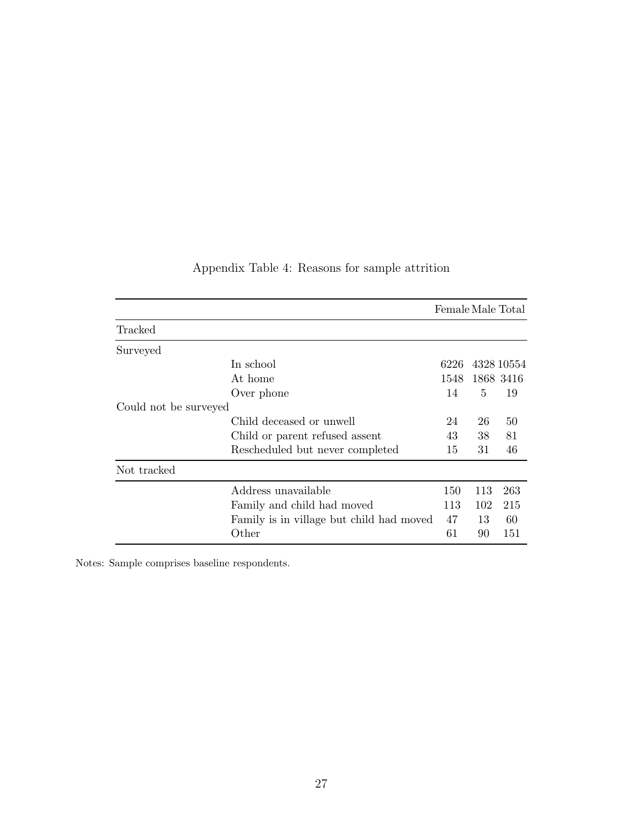|                       |                                          | Female Male Total |     |                |
|-----------------------|------------------------------------------|-------------------|-----|----------------|
| Tracked               |                                          |                   |     |                |
| Surveyed              |                                          |                   |     |                |
| In school             |                                          | 6226              |     | 4328 10554     |
| At home               |                                          |                   |     | 1548 1868 3416 |
| Over phone            |                                          | 14                | 5   | 19             |
| Could not be surveyed |                                          |                   |     |                |
|                       | Child deceased or unwell                 | 24                | 26  | 50             |
|                       | Child or parent refused assent           | 43                | 38  | 81             |
|                       | Rescheduled but never completed          | 15                | 31  | 46             |
| Not tracked           |                                          |                   |     |                |
|                       | Address unavailable                      | 150               | 113 | 263            |
|                       | Family and child had moved               | 113               | 102 | 215            |
|                       | Family is in village but child had moved | 47                | 13  | 60             |
| Other                 |                                          | 61                | 90  | 151            |

## Appendix Table 4: Reasons for sample attrition

Notes: Sample comprises baseline respondents.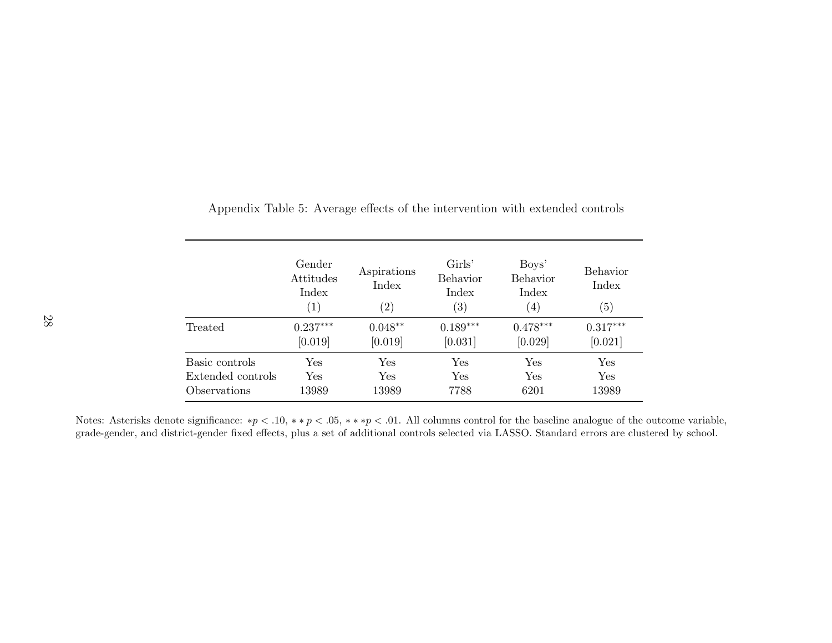|                   | Gender<br>Attitudes<br>Index<br>$\left( 1\right)$ | Aspirations<br>Index<br>$\left( 2\right)$ | Girls'<br><b>Behavior</b><br>Index<br>$\left( 3\right)$ | Boys'<br>Behavior<br>Index<br>$\left( 4\right)$ | <b>Behavior</b><br>Index<br>(5) |
|-------------------|---------------------------------------------------|-------------------------------------------|---------------------------------------------------------|-------------------------------------------------|---------------------------------|
| Treated           | $0.237***$                                        | $0.048**$                                 | $0.189***$                                              | $0.478***$                                      | $0.317***$                      |
|                   | [0.019]                                           | [0.019]                                   | [0.031]                                                 | [0.029]                                         | [0.021]                         |
| Basic controls    | Yes                                               | $\operatorname{Yes}$                      | Yes                                                     | Yes                                             | Yes                             |
| Extended controls | Yes                                               | Yes                                       | Yes                                                     | Yes                                             | Yes                             |
| Observations      | 13989                                             | 13989                                     | 7788                                                    | 6201                                            | 13989                           |

Appendix Table 5: Average effects of the intervention with extended controls

Notes: Asterisks denote significance: \* $p < .10$ , \*\* $p < .05$ , \*\*\* $p < .01$ . All columns control for the baseline analogue of the outcome variable, grade-gender, and district-gender fixed effects, <sup>p</sup>lus <sup>a</sup> set of additional controls selected via LASSO. Standard errors are clustered by school.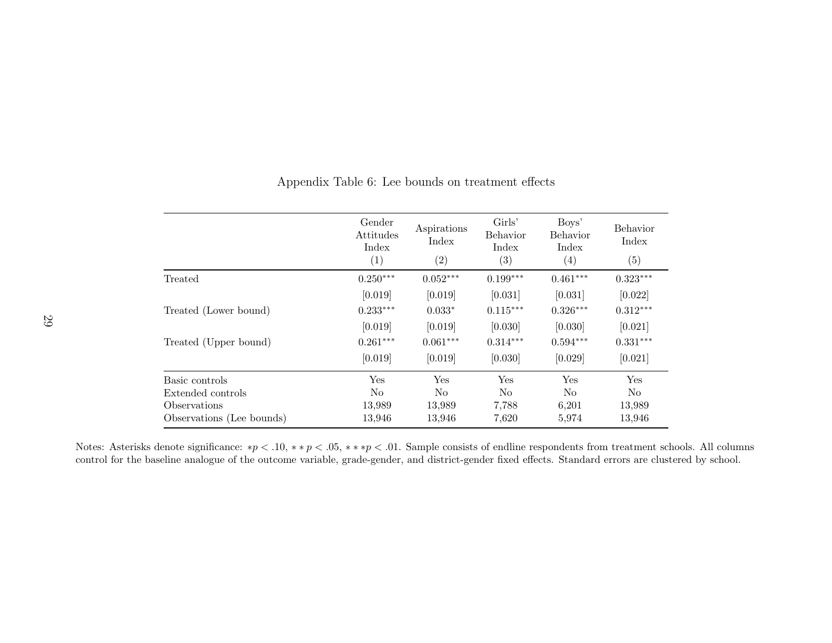|                           | Gender<br>Attitudes<br>Index<br>(1) | Aspirations<br>Index<br>(2) | Girls'<br>Behavior<br>Index<br>(3) | Boys'<br>Behavior<br>Index<br>$\left( 4\right)$ | Behavior<br>Index<br>(5) |
|---------------------------|-------------------------------------|-----------------------------|------------------------------------|-------------------------------------------------|--------------------------|
| Treated                   | $0.250***$                          | $0.052***$                  | $0.199***$                         | $0.461***$                                      | $0.323***$               |
|                           | [0.019]                             | [0.019]                     | [0.031]                            | [0.031]                                         | [0.022]                  |
| Treated (Lower bound)     | $0.233***$                          | $0.033*$                    | $0.115***$                         | $0.326***$                                      | $0.312***$               |
|                           | [0.019]                             | [0.019]                     | [0.030]                            | [0.030]                                         | [0.021]                  |
| Treated (Upper bound)     | $0.261***$                          | $0.061***$                  | $0.314***$                         | $0.594***$                                      | $0.331***$               |
|                           | [0.019]                             | [0.019]                     | [0.030]                            | [0.029]                                         | [0.021]                  |
| Basic controls            | Yes                                 | Yes                         | Yes                                | Yes                                             | Yes                      |
| Extended controls         | N <sub>o</sub>                      | No                          | N <sub>o</sub>                     | N <sub>o</sub>                                  | No.                      |
| Observations              | 13,989                              | 13,989                      | 7,788                              | 6,201                                           | 13,989                   |
| Observations (Lee bounds) | 13,946                              | 13,946                      | 7,620                              | 5,974                                           | 13,946                   |

<span id="page-29-0"></span>Appendix Table 6: Lee bounds on treatment effects

Notes: Asterisks denote significance: \* $p < 0.10,$  \*\* $p < 0.05,$  \*\*\* $p < 0.01$ . Sample consists of endline respondents from treatment schools. All columns control for the baseline analogue of the outcome variable, grade-gender, and district-gender fixed effects. Standard errors are clustered by school.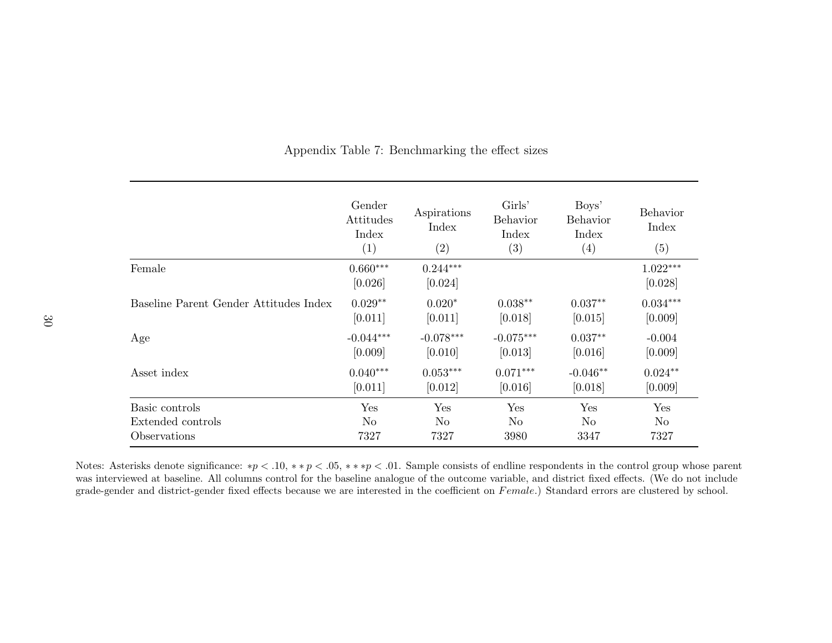|                                        | Gender<br>Attitudes<br>Index<br>(1) | Aspirations<br>Index<br>(2) | Girls'<br><b>Behavior</b><br>Index<br>(3) | Boys'<br>Behavior<br>Index<br>(4) | <b>Behavior</b><br>Index<br>(5) |
|----------------------------------------|-------------------------------------|-----------------------------|-------------------------------------------|-----------------------------------|---------------------------------|
| Female                                 | $0.660***$<br>[0.026]               | $0.244***$<br>[0.024]       |                                           |                                   | $1.022***$<br>[0.028]           |
| Baseline Parent Gender Attitudes Index | $0.029**$                           | $0.020*$                    | $0.038**$                                 | $0.037**$                         | $0.034***$                      |
|                                        | [0.011]                             | [0.011]                     | [0.018]                                   | [0.015]                           | [0.009]                         |
| Age                                    | $-0.044***$                         | $-0.078***$                 | $-0.075***$                               | $0.037**$                         | $-0.004$                        |
|                                        | [0.009]                             | [0.010]                     | [0.013]                                   | [0.016]                           | [0.009]                         |
| Asset index                            | $0.040***$                          | $0.053***$                  | $0.071***$                                | $-0.046**$                        | $0.024**$                       |
|                                        | [0.011]                             | [0.012]                     | [0.016]                                   | [0.018]                           | [0.009]                         |
| Basic controls                         | Yes                                 | Yes                         | Yes                                       | Yes                               | Yes                             |
| Extended controls                      | N <sub>o</sub>                      | N <sub>o</sub>              | N <sub>o</sub>                            | N <sub>o</sub>                    | N <sub>o</sub>                  |
| Observations                           | 7327                                | 7327                        | 3980                                      | 3347                              | 7327                            |

<span id="page-30-0"></span>Appendix Table 7: Benchmarking the effect sizes

Notes: Asterisks denote significance: \* $p < 0.10$ , \*\* $p < 0.05$ , \*\*\* $p < 0.01$ . Sample consists of endline respondents in the control group whose parent was interviewed at baseline. All columns control for the baseline analogue of the outcome variable, and district fixed effects. (We do not includegrade-gender and district-gender fixed effects because we are interested in the coefficient on  $Female$ ) Standard errors are clustered by school.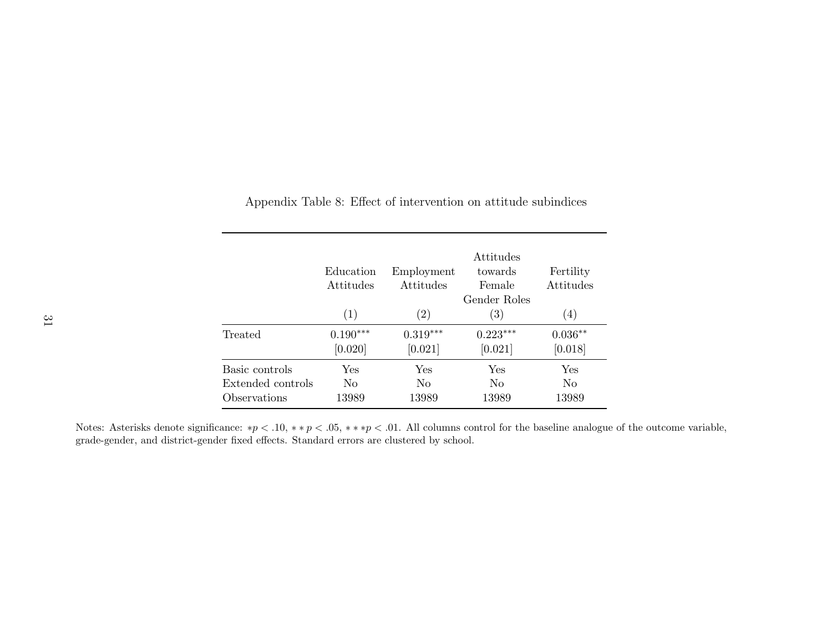|                   | Education<br>Attitudes | Employment<br>Attitudes | Attitudes<br>towards<br>Female<br>Gender Roles | Fertility<br>Attitudes |
|-------------------|------------------------|-------------------------|------------------------------------------------|------------------------|
|                   | (1)                    | $\left( 2\right)$       | (3)                                            | (4)                    |
| Treated           | $0.190***$             | $0.319***$              | $0.223***$                                     | $0.036**$              |
|                   | [0.020]                | [0.021]                 | [0.021]                                        | [0.018]                |
| Basic controls    | Yes                    | Yes                     | Yes                                            | Yes                    |
| Extended controls | N <sub>0</sub>         | No                      | No                                             | No                     |
| Observations      | 13989                  | 13989                   | 13989                                          | 13989                  |

<span id="page-31-0"></span>Appendix Table 8: Effect of intervention on attitude subindices

Notes: Asterisks denote significance: \* $p < .10$ , \*\* $p < .05$ , \*\*\* $p < .01$ . All columns control for the baseline analogue of the outcome variable, grade-gender, and district-gender fixed effects. Standard errors are clustered by school.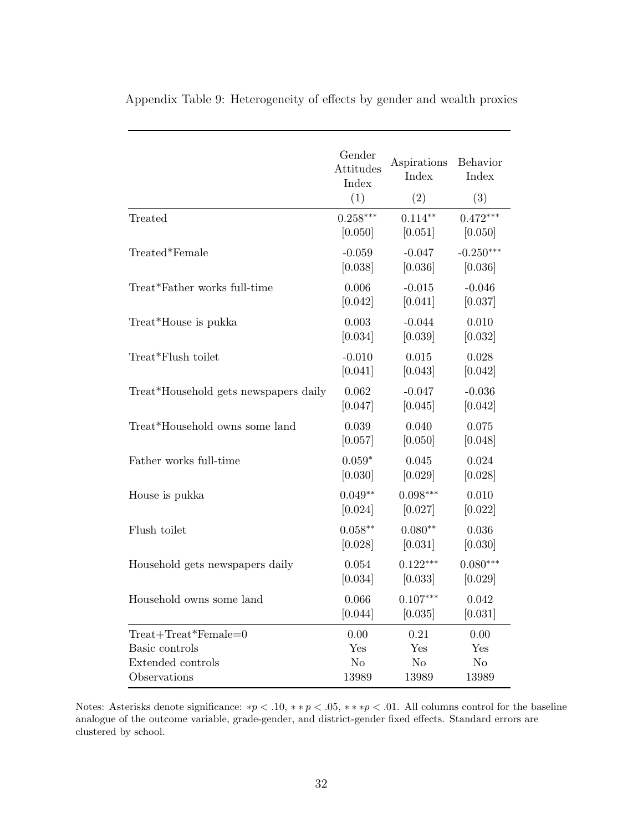|                                       | Gender<br>Attitudes<br>Index<br>(1) | Aspirations<br>Index<br>(2) | Behavior<br>Index<br>(3) |
|---------------------------------------|-------------------------------------|-----------------------------|--------------------------|
| Treated                               | $0.258***$                          | $0.114**$                   | $0.472***$               |
|                                       | [0.050]                             | [0.051]                     | [0.050]                  |
| Treated*Female                        | $-0.059$                            | $-0.047$                    | $-0.250***$              |
|                                       | [0.038]                             | [0.036]                     | [0.036]                  |
| Treat*Father works full-time          | 0.006                               | $-0.015$                    | $-0.046$                 |
|                                       | [0.042]                             | [0.041]                     | [0.037]                  |
| Treat*House is pukka                  | 0.003                               | $-0.044$                    | 0.010                    |
|                                       | [0.034]                             | [0.039]                     | [0.032]                  |
| Treat*Flush toilet                    | $-0.010$                            | 0.015                       | 0.028                    |
|                                       | [0.041]                             | [0.043]                     | [0.042]                  |
| Treat*Household gets newspapers daily | 0.062                               | $-0.047$                    | $-0.036$                 |
|                                       | [0.047]                             | [0.045]                     | [0.042]                  |
| Treat*Household owns some land        | 0.039                               | 0.040                       | 0.075                    |
|                                       | [0.057]                             | [0.050]                     | [0.048]                  |
| Father works full-time                | $0.059*$                            | 0.045                       | 0.024                    |
|                                       | [0.030]                             | [0.029]                     | [0.028]                  |
| House is pukka                        | $0.049**$                           | $0.098***$                  | 0.010                    |
|                                       | [0.024]                             | [0.027]                     | [0.022]                  |
| Flush toilet                          | $0.058**$                           | $0.080**$                   | 0.036                    |
|                                       | [0.028]                             | [0.031]                     | [0.030]                  |
| Household gets newspapers daily       | 0.054                               | $0.122***$                  | $0.080***$               |
|                                       | [0.034]                             | [0.033]                     | [0.029]                  |
| Household owns some land              | 0.066                               | $0.107***$                  | 0.042                    |
|                                       | [0.044]                             | [0.035]                     | [0.031]                  |
| $Treat + Treat*Female=0$              | 0.00                                | 0.21                        | 0.00                     |
| Basic controls                        | Yes                                 | Yes                         | Yes                      |
| Extended controls                     | N <sub>o</sub>                      | N <sub>o</sub>              | N <sub>o</sub>           |
| Observations                          | 13989                               | 13989                       | 13989                    |

<span id="page-32-0"></span>Appendix Table 9: Heterogeneity of effects by gender and wealth proxies

Notes: Asterisks denote significance: \* $p < .10$ , \*\* $p < .05$ , \*\*\* $p < .01$ . All columns control for the baseline analogue of the outcome variable, grade-gender, and district-gender fixed effects. Standard errors are clustered by school.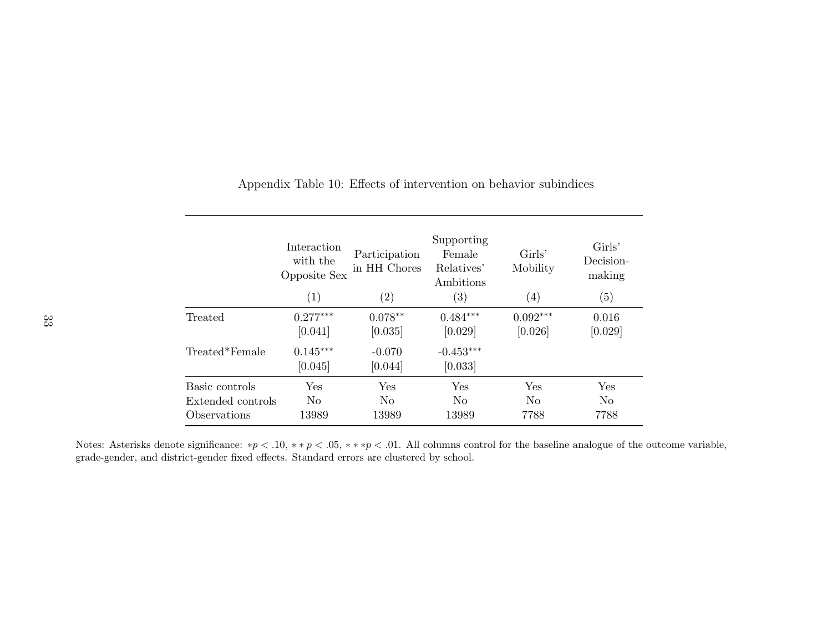|                   | Interaction<br>with the<br>Opposite Sex<br>(1) | Participation<br>in HH Chores<br>$\left( 2\right)$ | Supporting<br>Female<br>Relatives'<br>Ambitions<br>$\left( 3\right)$ | Girls'<br>Mobility<br>$\left(4\right)$ | Girls'<br>Decision-<br>making<br>(5) |
|-------------------|------------------------------------------------|----------------------------------------------------|----------------------------------------------------------------------|----------------------------------------|--------------------------------------|
| Treated           | $0.277***$                                     | $0.078**$                                          | $0.484***$                                                           | $0.092***$                             | 0.016                                |
|                   | [0.041]                                        | [0.035]                                            | [0.029]                                                              | [0.026]                                | [0.029]                              |
| Treated*Female    | $0.145***$<br>[0.045]                          | $-0.070$<br>[0.044]                                | $-0.453***$<br>[0.033]                                               |                                        |                                      |
| Basic controls    | Yes                                            | Yes                                                | Yes                                                                  | Yes                                    | Yes                                  |
| Extended controls | N <sub>0</sub>                                 | N <sub>0</sub>                                     | N <sub>0</sub>                                                       | N <sub>0</sub>                         | No.                                  |
| Observations      | 13989                                          | 13989                                              | 13989                                                                | 7788                                   | 7788                                 |

<span id="page-33-0"></span>Appendix Table 10: Effects of intervention on behavior subindices

Notes: Asterisks denote significance: \* $p < .10$ , \*\* $p < .05$ , \*\*\* $p < .01$ . All columns control for the baseline analogue of the outcome variable, grade-gender, and district-gender fixed effects. Standard errors are clustered by school.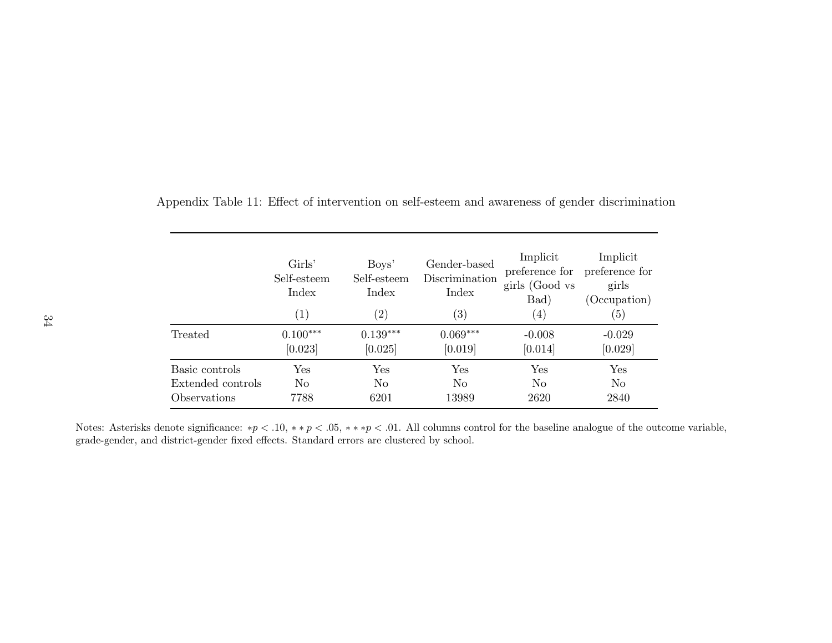|                   | Girls'<br>Self-esteem<br>Index<br>$\left( 1\right)$ | Boys'<br>Self-esteem<br>Index<br>$\left( 2\right)$ | Gender-based<br>Discrimination<br>Index<br>$\left( 3\right)$ | Implicit<br>preference for<br>girls (Good vs<br>Bad)<br>$\left(4\right)$ | Implicit<br>preference for<br>girls<br>(Occupation)<br>$\left( 5\right)$ |
|-------------------|-----------------------------------------------------|----------------------------------------------------|--------------------------------------------------------------|--------------------------------------------------------------------------|--------------------------------------------------------------------------|
| Treated           | $0.100***$                                          | $0.139***$                                         | $0.069***$                                                   | $-0.008$                                                                 | $-0.029$                                                                 |
|                   | [0.023]                                             | [0.025]                                            | [0.019]                                                      | [0.014]                                                                  | [0.029]                                                                  |
| Basic controls    | Yes                                                 | Yes                                                | Yes                                                          | Yes                                                                      | $\operatorname{Yes}$                                                     |
| Extended controls | No                                                  | N <sub>0</sub>                                     | N <sub>0</sub>                                               | N <sub>0</sub>                                                           | No                                                                       |
| Observations      | 7788                                                | 6201                                               | 13989                                                        | 2620                                                                     | 2840                                                                     |

<span id="page-34-0"></span>Appendix Table 11: Effect of intervention on self-esteem and awareness of gender discrimination

Notes: Asterisks denote significance: \* $p < .10$ , \*\* $p < .05$ , \*\*\* $p < .01$ . All columns control for the baseline analogue of the outcome variable, grade-gender, and district-gender fixed effects. Standard errors are clustered by school.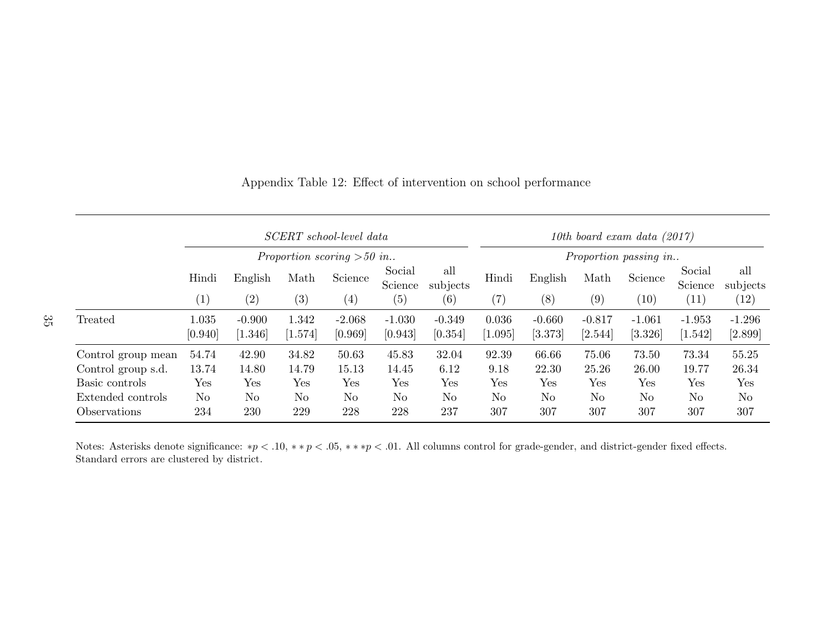|                            | SCERT school-level data     |                     |                  |                     | 10th board exam data $(2017)$ |                     |                   |                     |                     |                     |                     |                     |
|----------------------------|-----------------------------|---------------------|------------------|---------------------|-------------------------------|---------------------|-------------------|---------------------|---------------------|---------------------|---------------------|---------------------|
|                            | Proportion scoring $>50$ in |                     |                  |                     | Proportion passing in         |                     |                   |                     |                     |                     |                     |                     |
|                            | Hindi                       | English             | Math             | Science             | Social<br>Science             | all<br>subjects     | Hindi             | English             | Math                | Science             | Social<br>Science   | all<br>subjects     |
|                            | (1)                         | (2)                 | (3)              | $\left( 4\right)$   | (5)                           | (6)                 | $\left( 7\right)$ | (8)                 | (9)                 | (10)                | (11)                | (12)                |
| Treated                    | 1.035<br>[0.940]            | $-0.900$<br>[1.346] | 1.342<br>[1.574] | $-2.068$<br>[0.969] | $-1.030$<br>[0.943]           | $-0.349$<br>[0.354] | 0.036<br>[1.095]  | $-0.660$<br>[3.373] | $-0.817$<br>[2.544] | $-1.061$<br>[3.326] | $-1.953$<br>[1.542] | $-1.296$<br>[2.899] |
| Control group mean         | 54.74                       | 42.90               | 34.82            | 50.63               | 45.83                         | 32.04               | 92.39             | 66.66               | 75.06               | 73.50               | 73.34               | 55.25               |
| Control group s.d.         | 13.74                       | 14.80               | 14.79            | 15.13               | 14.45                         | 6.12                | 9.18              | 22.30               | 25.26               | 26.00               | 19.77               | 26.34               |
| Basic controls             | Yes                         | Yes                 | Yes              | Yes                 | Yes                           | Yes                 | Yes               | Yes                 | Yes                 | Yes                 | Yes                 | Yes                 |
| Extended controls          | No                          | N <sub>o</sub>      | N <sub>o</sub>   | $\rm No$            | N <sub>o</sub>                | N <sub>o</sub>      | N <sub>o</sub>    | N <sub>o</sub>      | N <sub>o</sub>      | N <sub>o</sub>      | N <sub>o</sub>      | N <sub>o</sub>      |
| <i><b>Observations</b></i> | 234                         | 230                 | 229              | 228                 | 228                           | 237                 | 307               | 307                 | 307                 | 307                 | 307                 | 307                 |

Appendix Table 12: Effect of intervention on school performance

Notes: Asterisks denote significance: \* $p < .10$ , \*\* $p < .05$ , \*\*\* $p < .01$ . All columns control for grade-gender, and district-gender fixed effects. Standard errors are clustered by district.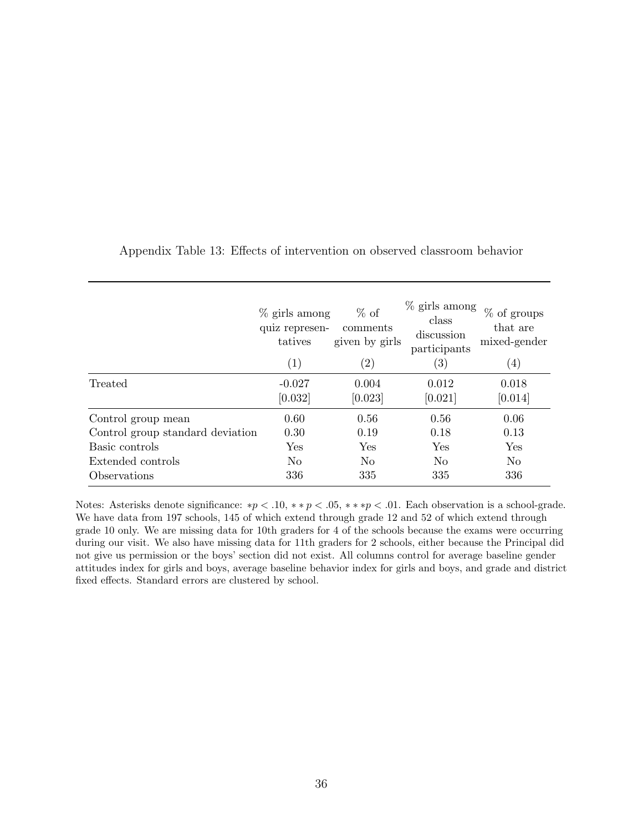|                                  | $\%$ girls among<br>quiz represen-<br>tatives<br>(1) | $%$ of<br>comments<br>given by girls<br>$\left( 2\right)$ | $\%$ girls among<br>class<br>discussion<br>participants<br>$\left( 3\right)$ | $\%$ of groups<br>that are<br>mixed-gender<br>$\left( 4\right)$ |
|----------------------------------|------------------------------------------------------|-----------------------------------------------------------|------------------------------------------------------------------------------|-----------------------------------------------------------------|
| Treated                          | $-0.027$<br>[0.032]                                  | 0.004<br>[0.023]                                          | 0.012<br>[0.021]                                                             | 0.018<br>[0.014]                                                |
| Control group mean               | 0.60                                                 | 0.56                                                      | 0.56                                                                         | 0.06                                                            |
| Control group standard deviation | 0.30                                                 | 0.19                                                      | 0.18                                                                         | 0.13                                                            |
| Basic controls                   | <b>Yes</b>                                           | <b>Yes</b>                                                | <b>Yes</b>                                                                   | Yes                                                             |
| Extended controls                | No.                                                  | N <sub>0</sub>                                            | N <sub>o</sub>                                                               | No                                                              |
| <i><b>Observations</b></i>       | 336                                                  | 335                                                       | 335                                                                          | 336                                                             |

<span id="page-36-0"></span>Appendix Table 13: Effects of intervention on observed classroom behavior

Notes: Asterisks denote significance: ∗p < .10, ∗ ∗ p < .05, ∗ ∗ ∗p < .01. Each observation is a school-grade. We have data from 197 schools, 145 of which extend through grade 12 and 52 of which extend through grade 10 only. We are missing data for 10th graders for 4 of the schools because the exams were occurring during our visit. We also have missing data for 11th graders for 2 schools, either because the Principal did not give us permission or the boys' section did not exist. All columns control for average baseline gender attitudes index for girls and boys, average baseline behavior index for girls and boys, and grade and district fixed effects. Standard errors are clustered by school.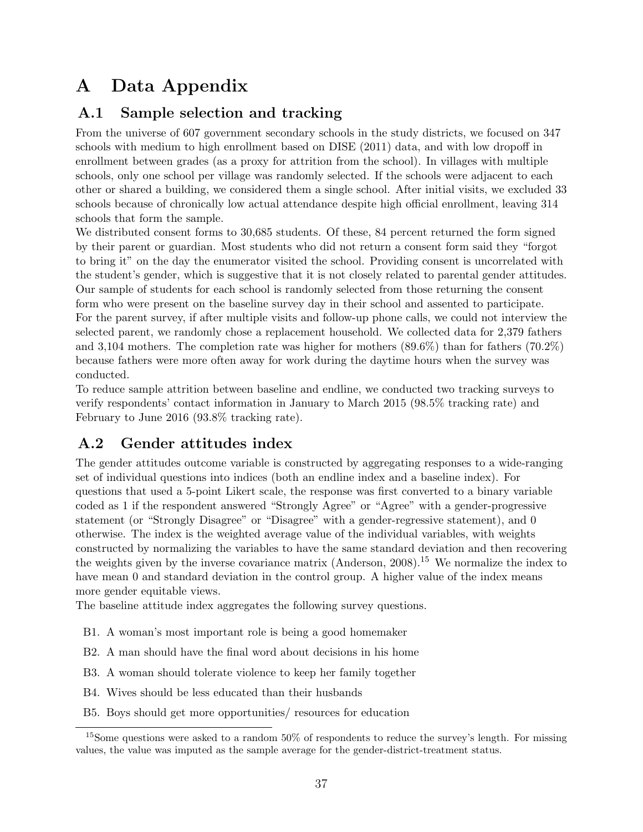## A Data Appendix

## A.1 Sample selection and tracking

From the universe of 607 government secondary schools in the study districts, we focused on 347 schools with medium to high enrollment based on DISE (2011) data, and with low dropoff in enrollment between grades (as a proxy for attrition from the school). In villages with multiple schools, only one school per village was randomly selected. If the schools were adjacent to each other or shared a building, we considered them a single school. After initial visits, we excluded 33 schools because of chronically low actual attendance despite high official enrollment, leaving 314 schools that form the sample.

We distributed consent forms to 30,685 students. Of these, 84 percent returned the form signed by their parent or guardian. Most students who did not return a consent form said they "forgot to bring it" on the day the enumerator visited the school. Providing consent is uncorrelated with the student's gender, which is suggestive that it is not closely related to parental gender attitudes. Our sample of students for each school is randomly selected from those returning the consent form who were present on the baseline survey day in their school and assented to participate. For the parent survey, if after multiple visits and follow-up phone calls, we could not interview the selected parent, we randomly chose a replacement household. We collected data for 2,379 fathers and 3,104 mothers. The completion rate was higher for mothers (89.6%) than for fathers (70.2%) because fathers were more often away for work during the daytime hours when the survey was conducted.

To reduce sample attrition between baseline and endline, we conducted two tracking surveys to verify respondents' contact information in January to March 2015 (98.5% tracking rate) and February to June 2016 (93.8% tracking rate).

## A.2 Gender attitudes index

The gender attitudes outcome variable is constructed by aggregating responses to a wide-ranging set of individual questions into indices (both an endline index and a baseline index). For questions that used a 5-point Likert scale, the response was first converted to a binary variable coded as 1 if the respondent answered "Strongly Agree" or "Agree" with a gender-progressive statement (or "Strongly Disagree" or "Disagree" with a gender-regressive statement), and 0 otherwise. The index is the weighted average value of the individual variables, with weights constructed by normalizing the variables to have the same standard deviation and then recovering the weights given by the inverse covariance matrix [\(Anderson,](#page-15-15)  $2008$ ).<sup>[15](#page-0-0)</sup> We normalize the index to have mean 0 and standard deviation in the control group. A higher value of the index means more gender equitable views.

The baseline attitude index aggregates the following survey questions.

- B1. A woman's most important role is being a good homemaker
- B2. A man should have the final word about decisions in his home
- B3. A woman should tolerate violence to keep her family together
- B4. Wives should be less educated than their husbands
- B5. Boys should get more opportunities/ resources for education

<sup>&</sup>lt;sup>15</sup>Some questions were asked to a random  $50\%$  of respondents to reduce the survey's length. For missing values, the value was imputed as the sample average for the gender-district-treatment status.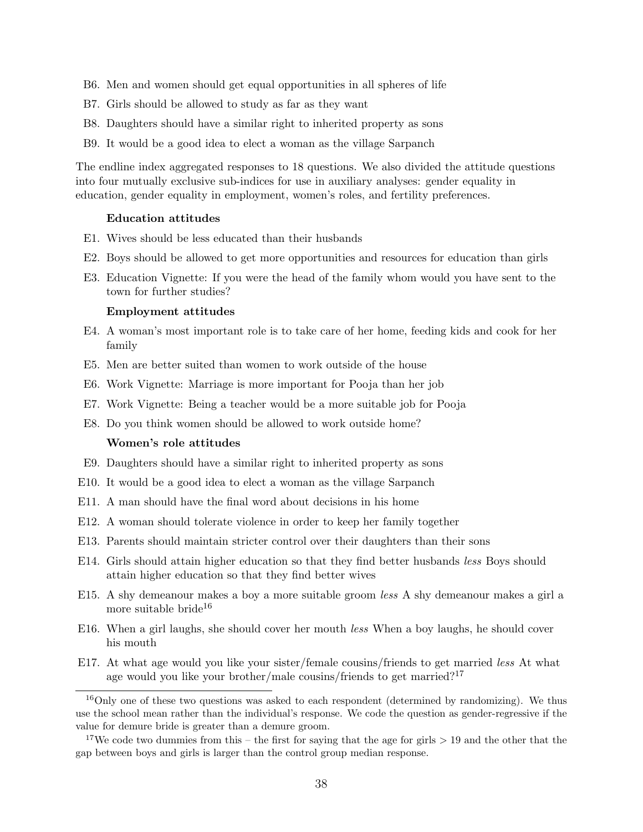- B6. Men and women should get equal opportunities in all spheres of life
- B7. Girls should be allowed to study as far as they want
- B8. Daughters should have a similar right to inherited property as sons
- B9. It would be a good idea to elect a woman as the village Sarpanch

The endline index aggregated responses to 18 questions. We also divided the attitude questions into four mutually exclusive sub-indices for use in auxiliary analyses: gender equality in education, gender equality in employment, women's roles, and fertility preferences.

#### Education attitudes

- E1. Wives should be less educated than their husbands
- E2. Boys should be allowed to get more opportunities and resources for education than girls
- E3. Education Vignette: If you were the head of the family whom would you have sent to the town for further studies?

#### Employment attitudes

- E4. A woman's most important role is to take care of her home, feeding kids and cook for her family
- E5. Men are better suited than women to work outside of the house
- E6. Work Vignette: Marriage is more important for Pooja than her job
- E7. Work Vignette: Being a teacher would be a more suitable job for Pooja
- E8. Do you think women should be allowed to work outside home?

#### Women's role attitudes

- E9. Daughters should have a similar right to inherited property as sons
- E10. It would be a good idea to elect a woman as the village Sarpanch
- E11. A man should have the final word about decisions in his home
- E12. A woman should tolerate violence in order to keep her family together
- E13. Parents should maintain stricter control over their daughters than their sons
- E14. Girls should attain higher education so that they find better husbands less Boys should attain higher education so that they find better wives
- E15. A shy demeanour makes a boy a more suitable groom less A shy demeanour makes a girl a more suitable bride<sup>[16](#page-0-0)</sup>
- E16. When a girl laughs, she should cover her mouth less When a boy laughs, he should cover his mouth
- E17. At what age would you like your sister/female cousins/friends to get married *less* At what age would you like your brother/male cousins/friends to get married?<sup>[17](#page-0-0)</sup>

<sup>&</sup>lt;sup>16</sup>Only one of these two questions was asked to each respondent (determined by randomizing). We thus use the school mean rather than the individual's response. We code the question as gender-regressive if the value for demure bride is greater than a demure groom.

<sup>&</sup>lt;sup>17</sup>We code two dummies from this – the first for saying that the age for girls  $> 19$  and the other that the gap between boys and girls is larger than the control group median response.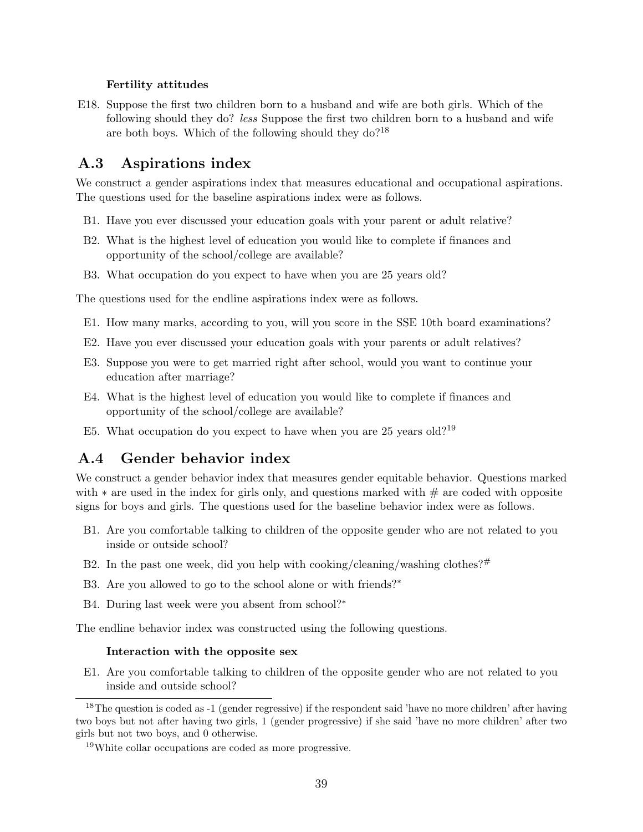#### Fertility attitudes

E18. Suppose the first two children born to a husband and wife are both girls. Which of the following should they do? less Suppose the first two children born to a husband and wife are both boys. Which of the following should they do?[18](#page-0-0)

## A.3 Aspirations index

We construct a gender aspirations index that measures educational and occupational aspirations. The questions used for the baseline aspirations index were as follows.

- B1. Have you ever discussed your education goals with your parent or adult relative?
- B2. What is the highest level of education you would like to complete if finances and opportunity of the school/college are available?
- B3. What occupation do you expect to have when you are 25 years old?

The questions used for the endline aspirations index were as follows.

- E1. How many marks, according to you, will you score in the SSE 10th board examinations?
- E2. Have you ever discussed your education goals with your parents or adult relatives?
- E3. Suppose you were to get married right after school, would you want to continue your education after marriage?
- E4. What is the highest level of education you would like to complete if finances and opportunity of the school/college are available?
- E5. What occupation do you expect to have when you are 25 years old?<sup>[19](#page-0-0)</sup>

## A.4 Gender behavior index

We construct a gender behavior index that measures gender equitable behavior. Questions marked with  $*$  are used in the index for girls only, and questions marked with  $#$  are coded with opposite signs for boys and girls. The questions used for the baseline behavior index were as follows.

- B1. Are you comfortable talking to children of the opposite gender who are not related to you inside or outside school?
- B2. In the past one week, did you help with cooking/cleaning/washing clothes? $#$
- B3. Are you allowed to go to the school alone or with friends?<sup>∗</sup>
- B4. During last week were you absent from school?<sup>∗</sup>

The endline behavior index was constructed using the following questions.

#### Interaction with the opposite sex

E1. Are you comfortable talking to children of the opposite gender who are not related to you inside and outside school?

<sup>&</sup>lt;sup>18</sup>The question is coded as -1 (gender regressive) if the respondent said 'have no more children' after having two boys but not after having two girls, 1 (gender progressive) if she said 'have no more children' after two girls but not two boys, and 0 otherwise.

<sup>19</sup>White collar occupations are coded as more progressive.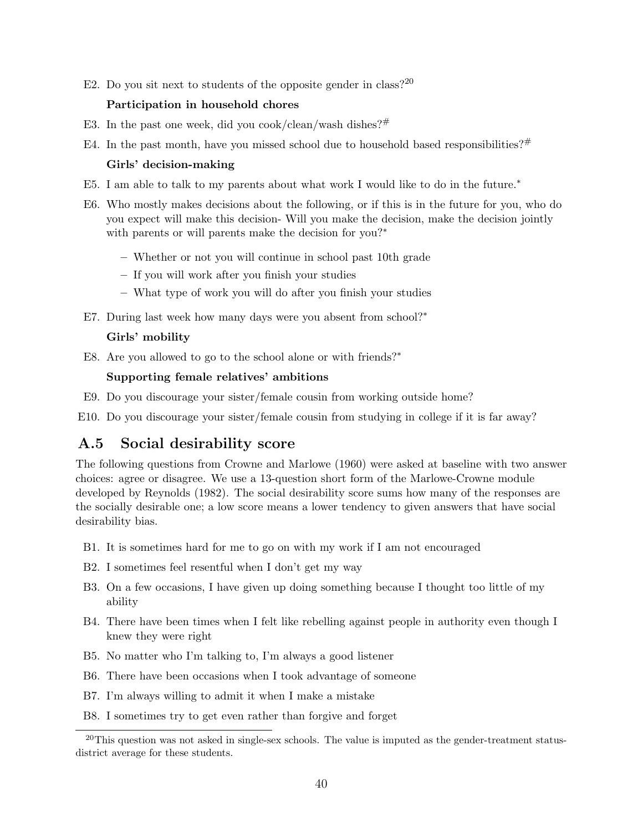E2. Do you sit next to students of the opposite gender in class?<sup>[20](#page-0-0)</sup>

#### Participation in household chores

- E3. In the past one week, did you cook/clean/wash dishes?#
- E4. In the past month, have you missed school due to household based responsibilities? $#$

#### Girls' decision-making

- E5. I am able to talk to my parents about what work I would like to do in the future.<sup>∗</sup>
- E6. Who mostly makes decisions about the following, or if this is in the future for you, who do you expect will make this decision- Will you make the decision, make the decision jointly with parents or will parents make the decision for you?<sup>∗</sup>
	- Whether or not you will continue in school past 10th grade
	- If you will work after you finish your studies
	- What type of work you will do after you finish your studies
- E7. During last week how many days were you absent from school?<sup>∗</sup>

#### Girls' mobility

E8. Are you allowed to go to the school alone or with friends?<sup>∗</sup>

#### Supporting female relatives' ambitions

E9. Do you discourage your sister/female cousin from working outside home?

E10. Do you discourage your sister/female cousin from studying in college if it is far away?

## A.5 Social desirability score

The following questions from [Crowne and Marlowe](#page-16-16) [\(1960\)](#page-16-16) were asked at baseline with two answer choices: agree or disagree. We use a 13-question short form of the Marlowe-Crowne module developed by [Reynolds](#page-17-16) [\(1982\)](#page-17-16). The social desirability score sums how many of the responses are the socially desirable one; a low score means a lower tendency to given answers that have social desirability bias.

- B1. It is sometimes hard for me to go on with my work if I am not encouraged
- B2. I sometimes feel resentful when I don't get my way
- B3. On a few occasions, I have given up doing something because I thought too little of my ability
- B4. There have been times when I felt like rebelling against people in authority even though I knew they were right
- B5. No matter who I'm talking to, I'm always a good listener
- B6. There have been occasions when I took advantage of someone
- B7. I'm always willing to admit it when I make a mistake
- B8. I sometimes try to get even rather than forgive and forget

 $20$ This question was not asked in single-sex schools. The value is imputed as the gender-treatment statusdistrict average for these students.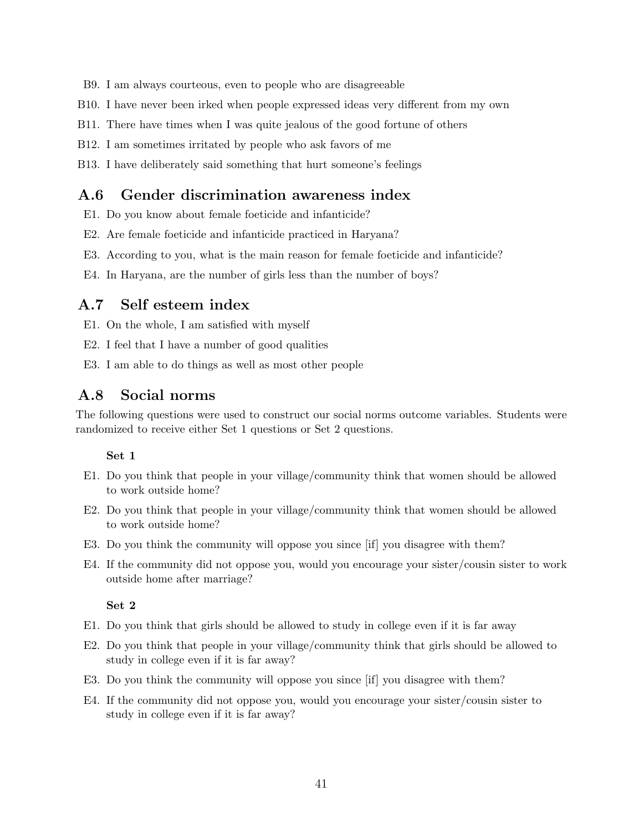- B9. I am always courteous, even to people who are disagreeable
- B10. I have never been irked when people expressed ideas very different from my own
- B11. There have times when I was quite jealous of the good fortune of others
- B12. I am sometimes irritated by people who ask favors of me
- B13. I have deliberately said something that hurt someone's feelings

## A.6 Gender discrimination awareness index

- E1. Do you know about female foeticide and infanticide?
- E2. Are female foeticide and infanticide practiced in Haryana?
- E3. According to you, what is the main reason for female foeticide and infanticide?
- E4. In Haryana, are the number of girls less than the number of boys?

#### A.7 Self esteem index

- E1. On the whole, I am satisfied with myself
- E2. I feel that I have a number of good qualities
- E3. I am able to do things as well as most other people

#### A.8 Social norms

The following questions were used to construct our social norms outcome variables. Students were randomized to receive either Set 1 questions or Set 2 questions.

#### Set 1

- E1. Do you think that people in your village/community think that women should be allowed to work outside home?
- E2. Do you think that people in your village/community think that women should be allowed to work outside home?
- E3. Do you think the community will oppose you since [if] you disagree with them?
- E4. If the community did not oppose you, would you encourage your sister/cousin sister to work outside home after marriage?

Set 2

- E1. Do you think that girls should be allowed to study in college even if it is far away
- E2. Do you think that people in your village/community think that girls should be allowed to study in college even if it is far away?
- E3. Do you think the community will oppose you since [if] you disagree with them?
- E4. If the community did not oppose you, would you encourage your sister/cousin sister to study in college even if it is far away?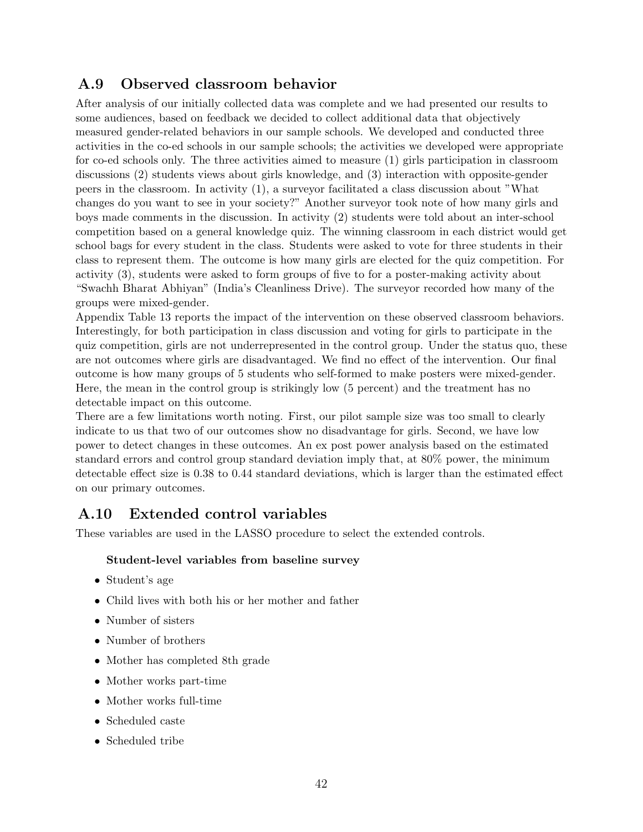## A.9 Observed classroom behavior

After analysis of our initially collected data was complete and we had presented our results to some audiences, based on feedback we decided to collect additional data that objectively measured gender-related behaviors in our sample schools. We developed and conducted three activities in the co-ed schools in our sample schools; the activities we developed were appropriate for co-ed schools only. The three activities aimed to measure (1) girls participation in classroom discussions (2) students views about girls knowledge, and (3) interaction with opposite-gender peers in the classroom. In activity (1), a surveyor facilitated a class discussion about "What changes do you want to see in your society?" Another surveyor took note of how many girls and boys made comments in the discussion. In activity (2) students were told about an inter-school competition based on a general knowledge quiz. The winning classroom in each district would get school bags for every student in the class. Students were asked to vote for three students in their class to represent them. The outcome is how many girls are elected for the quiz competition. For activity (3), students were asked to form groups of five to for a poster-making activity about "Swachh Bharat Abhiyan" (India's Cleanliness Drive). The surveyor recorded how many of the groups were mixed-gender.

Appendix Table [13](#page-36-0) reports the impact of the intervention on these observed classroom behaviors. Interestingly, for both participation in class discussion and voting for girls to participate in the quiz competition, girls are not underrepresented in the control group. Under the status quo, these are not outcomes where girls are disadvantaged. We find no effect of the intervention. Our final outcome is how many groups of 5 students who self-formed to make posters were mixed-gender. Here, the mean in the control group is strikingly low (5 percent) and the treatment has no detectable impact on this outcome.

There are a few limitations worth noting. First, our pilot sample size was too small to clearly indicate to us that two of our outcomes show no disadvantage for girls. Second, we have low power to detect changes in these outcomes. An ex post power analysis based on the estimated standard errors and control group standard deviation imply that, at 80% power, the minimum detectable effect size is 0.38 to 0.44 standard deviations, which is larger than the estimated effect on our primary outcomes.

## A.10 Extended control variables

These variables are used in the LASSO procedure to select the extended controls.

#### Student-level variables from baseline survey

- Student's age
- Child lives with both his or her mother and father
- Number of sisters
- Number of brothers
- Mother has completed 8th grade
- Mother works part-time
- Mother works full-time
- Scheduled caste
- Scheduled tribe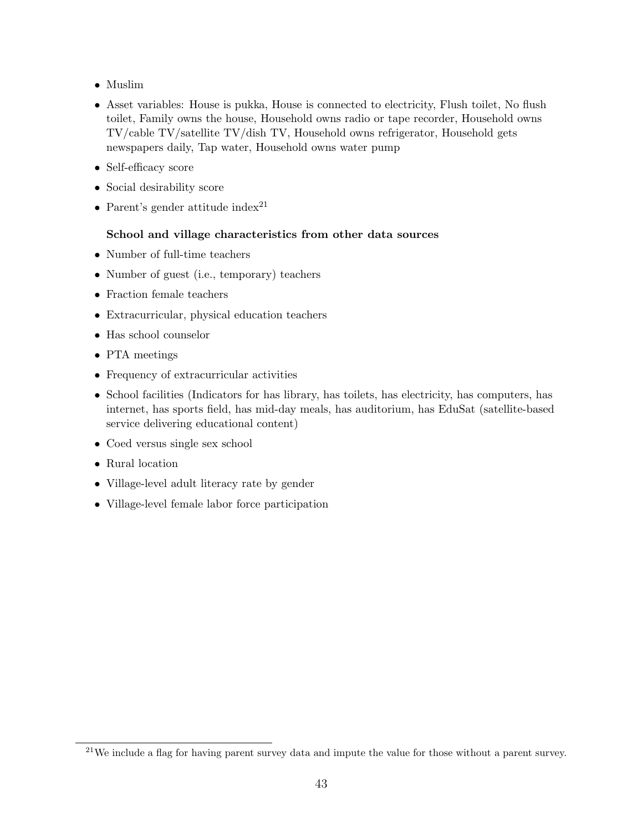- Muslim
- Asset variables: House is pukka, House is connected to electricity, Flush toilet, No flush toilet, Family owns the house, Household owns radio or tape recorder, Household owns TV/cable TV/satellite TV/dish TV, Household owns refrigerator, Household gets newspapers daily, Tap water, Household owns water pump
- Self-efficacy score
- Social desirability score
- Parent's gender attitude index<sup>[21](#page-0-0)</sup>

#### School and village characteristics from other data sources

- Number of full-time teachers
- Number of guest (i.e., temporary) teachers
- Fraction female teachers
- Extracurricular, physical education teachers
- Has school counselor
- PTA meetings
- Frequency of extracurricular activities
- School facilities (Indicators for has library, has toilets, has electricity, has computers, has internet, has sports field, has mid-day meals, has auditorium, has EduSat (satellite-based service delivering educational content)
- Coed versus single sex school
- Rural location
- Village-level adult literacy rate by gender
- Village-level female labor force participation

 $^{21}$ We include a flag for having parent survey data and impute the value for those without a parent survey.